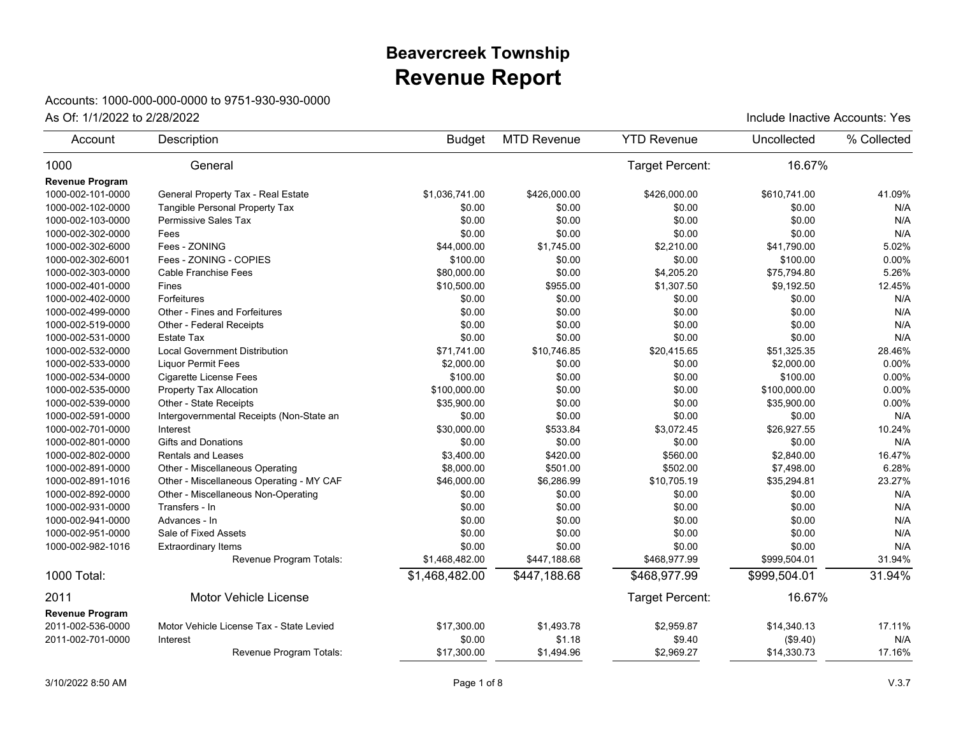## **Revenue Report Beavercreek Township**

## Accounts: 1000-000-000-0000 to 9751-930-930-0000

| 16.67%<br>1000<br>Target Percent:<br>General<br><b>Revenue Program</b><br>1000-002-101-0000<br>General Property Tax - Real Estate<br>\$610.741.00<br>41.09%<br>\$1.036.741.00<br>\$426,000.00<br>\$426,000.00<br>Tangible Personal Property Tax<br>\$0.00<br>1000-002-102-0000<br>\$0.00<br>\$0.00<br>\$0.00<br>N/A<br>\$0.00<br>\$0.00<br>\$0.00<br>N/A<br>1000-002-103-0000<br><b>Permissive Sales Tax</b><br>\$0.00<br>\$0.00<br>\$0.00<br>\$0.00<br>1000-002-302-0000<br>Fees<br>\$0.00<br>N/A<br>Fees - ZONING<br>\$2,210.00<br>5.02%<br>1000-002-302-6000<br>\$44,000.00<br>\$1,745.00<br>\$41,790.00<br>Fees - ZONING - COPIES<br>0.00%<br>1000-002-302-6001<br>\$100.00<br>\$0.00<br>\$0.00<br>\$100.00<br>Cable Franchise Fees<br>\$80,000.00<br>\$0.00<br>\$4,205.20<br>5.26%<br>1000-002-303-0000<br>\$75,794.80<br>\$10,500.00<br>\$955.00<br>\$1,307.50<br>12.45%<br>1000-002-401-0000<br>Fines<br>\$9,192.50<br>Forfeitures<br>1000-002-402-0000<br>\$0.00<br>\$0.00<br>\$0.00<br>\$0.00<br>N/A<br>\$0.00<br>1000-002-499-0000<br>Other - Fines and Forfeitures<br>\$0.00<br>\$0.00<br>\$0.00<br>N/A<br>\$0.00<br>\$0.00<br>\$0.00<br>\$0.00<br>N/A<br>1000-002-519-0000<br>Other - Federal Receipts<br>\$0.00<br>\$0.00<br>\$0.00<br>\$0.00<br>N/A<br>1000-002-531-0000<br><b>Estate Tax</b><br><b>Local Government Distribution</b><br>28.46%<br>1000-002-532-0000<br>\$71,741.00<br>\$10,746.85<br>\$20,415.65<br>\$51,325.35<br>\$0.00<br>0.00%<br>1000-002-533-0000<br><b>Liquor Permit Fees</b><br>\$2,000.00<br>\$0.00<br>\$2,000.00<br>1000-002-534-0000<br><b>Cigarette License Fees</b><br>\$100.00<br>\$0.00<br>\$0.00<br>\$100.00<br>0.00%<br>Property Tax Allocation<br>\$100,000.00<br>\$0.00<br>\$0.00<br>\$100,000.00<br>0.00%<br>1000-002-535-0000<br>1000-002-539-0000<br>Other - State Receipts<br>\$35,900.00<br>\$0.00<br>\$0.00<br>\$35,900.00<br>0.00%<br>\$0.00<br>\$0.00<br>N/A<br>1000-002-591-0000<br>Intergovernmental Receipts (Non-State an<br>\$0.00<br>\$0.00<br>\$26,927.55<br>10.24%<br>1000-002-701-0000<br>Interest<br>\$30,000.00<br>\$533.84<br>\$3,072.45<br>1000-002-801-0000<br><b>Gifts and Donations</b><br>\$0.00<br>\$0.00<br>\$0.00<br>\$0.00<br>N/A<br>16.47%<br>1000-002-802-0000<br><b>Rentals and Leases</b><br>\$3,400.00<br>\$420.00<br>\$560.00<br>\$2,840.00<br>\$501.00<br>\$502.00<br>Other - Miscellaneous Operating<br>\$8,000.00<br>\$7,498.00<br>6.28%<br>1000-002-891-0000<br>\$6,286.99<br>\$10,705.19<br>23.27%<br>1000-002-891-1016<br>Other - Miscellaneous Operating - MY CAF<br>\$46,000.00<br>\$35,294.81<br>N/A<br>1000-002-892-0000<br>Other - Miscellaneous Non-Operating<br>\$0.00<br>\$0.00<br>\$0.00<br>\$0.00<br>1000-002-931-0000<br>Transfers - In<br>\$0.00<br>\$0.00<br>\$0.00<br>\$0.00<br>N/A<br>\$0.00<br>\$0.00<br>\$0.00<br>\$0.00<br>N/A<br>1000-002-941-0000<br>Advances - In<br>N/A<br>Sale of Fixed Assets<br>\$0.00<br>\$0.00<br>\$0.00<br>\$0.00<br>1000-002-951-0000<br>\$0.00<br>\$0.00<br>N/A<br>1000-002-982-1016<br>\$0.00<br>\$0.00<br><b>Extraordinary Items</b><br>\$1,468,482.00<br>\$468,977.99<br>\$999,504.01<br>31.94%<br>Revenue Program Totals:<br>\$447,188.68<br>31.94%<br>1000 Total:<br>\$1,468,482.00<br>\$447,188.68<br>\$999,504.01<br>\$468,977.99<br>2011<br>Target Percent:<br>16.67%<br>Motor Vehicle License<br><b>Revenue Program</b><br>2011-002-536-0000<br>17.11%<br>Motor Vehicle License Tax - State Levied<br>\$17,300.00<br>\$1,493.78<br>\$2,959.87<br>\$14,340.13<br>2011-002-701-0000<br>\$0.00<br>\$1.18<br>N/A<br>Interest<br>\$9.40<br>(\$9.40)<br>\$17,300.00<br>\$1,494.96<br>\$2,969.27<br>\$14,330.73<br>17.16%<br>Revenue Program Totals: | Account | Description | <b>Budget</b> | <b>MTD Revenue</b> | <b>YTD Revenue</b> | Uncollected | % Collected |
|-------------------------------------------------------------------------------------------------------------------------------------------------------------------------------------------------------------------------------------------------------------------------------------------------------------------------------------------------------------------------------------------------------------------------------------------------------------------------------------------------------------------------------------------------------------------------------------------------------------------------------------------------------------------------------------------------------------------------------------------------------------------------------------------------------------------------------------------------------------------------------------------------------------------------------------------------------------------------------------------------------------------------------------------------------------------------------------------------------------------------------------------------------------------------------------------------------------------------------------------------------------------------------------------------------------------------------------------------------------------------------------------------------------------------------------------------------------------------------------------------------------------------------------------------------------------------------------------------------------------------------------------------------------------------------------------------------------------------------------------------------------------------------------------------------------------------------------------------------------------------------------------------------------------------------------------------------------------------------------------------------------------------------------------------------------------------------------------------------------------------------------------------------------------------------------------------------------------------------------------------------------------------------------------------------------------------------------------------------------------------------------------------------------------------------------------------------------------------------------------------------------------------------------------------------------------------------------------------------------------------------------------------------------------------------------------------------------------------------------------------------------------------------------------------------------------------------------------------------------------------------------------------------------------------------------------------------------------------------------------------------------------------------------------------------------------------------------------------------------------------------------------------------------------------------------------------------------------------------------------------------------------------------------------------------------------------------------------------------------------------------------------------------------------------------------------------------------------------------------------------------------------------------------------------------------------------------------------------------------------------------------------------------------------------------------------------|---------|-------------|---------------|--------------------|--------------------|-------------|-------------|
|                                                                                                                                                                                                                                                                                                                                                                                                                                                                                                                                                                                                                                                                                                                                                                                                                                                                                                                                                                                                                                                                                                                                                                                                                                                                                                                                                                                                                                                                                                                                                                                                                                                                                                                                                                                                                                                                                                                                                                                                                                                                                                                                                                                                                                                                                                                                                                                                                                                                                                                                                                                                                                                                                                                                                                                                                                                                                                                                                                                                                                                                                                                                                                                                                                                                                                                                                                                                                                                                                                                                                                                                                                                                                                 |         |             |               |                    |                    |             |             |
|                                                                                                                                                                                                                                                                                                                                                                                                                                                                                                                                                                                                                                                                                                                                                                                                                                                                                                                                                                                                                                                                                                                                                                                                                                                                                                                                                                                                                                                                                                                                                                                                                                                                                                                                                                                                                                                                                                                                                                                                                                                                                                                                                                                                                                                                                                                                                                                                                                                                                                                                                                                                                                                                                                                                                                                                                                                                                                                                                                                                                                                                                                                                                                                                                                                                                                                                                                                                                                                                                                                                                                                                                                                                                                 |         |             |               |                    |                    |             |             |
|                                                                                                                                                                                                                                                                                                                                                                                                                                                                                                                                                                                                                                                                                                                                                                                                                                                                                                                                                                                                                                                                                                                                                                                                                                                                                                                                                                                                                                                                                                                                                                                                                                                                                                                                                                                                                                                                                                                                                                                                                                                                                                                                                                                                                                                                                                                                                                                                                                                                                                                                                                                                                                                                                                                                                                                                                                                                                                                                                                                                                                                                                                                                                                                                                                                                                                                                                                                                                                                                                                                                                                                                                                                                                                 |         |             |               |                    |                    |             |             |
|                                                                                                                                                                                                                                                                                                                                                                                                                                                                                                                                                                                                                                                                                                                                                                                                                                                                                                                                                                                                                                                                                                                                                                                                                                                                                                                                                                                                                                                                                                                                                                                                                                                                                                                                                                                                                                                                                                                                                                                                                                                                                                                                                                                                                                                                                                                                                                                                                                                                                                                                                                                                                                                                                                                                                                                                                                                                                                                                                                                                                                                                                                                                                                                                                                                                                                                                                                                                                                                                                                                                                                                                                                                                                                 |         |             |               |                    |                    |             |             |
|                                                                                                                                                                                                                                                                                                                                                                                                                                                                                                                                                                                                                                                                                                                                                                                                                                                                                                                                                                                                                                                                                                                                                                                                                                                                                                                                                                                                                                                                                                                                                                                                                                                                                                                                                                                                                                                                                                                                                                                                                                                                                                                                                                                                                                                                                                                                                                                                                                                                                                                                                                                                                                                                                                                                                                                                                                                                                                                                                                                                                                                                                                                                                                                                                                                                                                                                                                                                                                                                                                                                                                                                                                                                                                 |         |             |               |                    |                    |             |             |
|                                                                                                                                                                                                                                                                                                                                                                                                                                                                                                                                                                                                                                                                                                                                                                                                                                                                                                                                                                                                                                                                                                                                                                                                                                                                                                                                                                                                                                                                                                                                                                                                                                                                                                                                                                                                                                                                                                                                                                                                                                                                                                                                                                                                                                                                                                                                                                                                                                                                                                                                                                                                                                                                                                                                                                                                                                                                                                                                                                                                                                                                                                                                                                                                                                                                                                                                                                                                                                                                                                                                                                                                                                                                                                 |         |             |               |                    |                    |             |             |
|                                                                                                                                                                                                                                                                                                                                                                                                                                                                                                                                                                                                                                                                                                                                                                                                                                                                                                                                                                                                                                                                                                                                                                                                                                                                                                                                                                                                                                                                                                                                                                                                                                                                                                                                                                                                                                                                                                                                                                                                                                                                                                                                                                                                                                                                                                                                                                                                                                                                                                                                                                                                                                                                                                                                                                                                                                                                                                                                                                                                                                                                                                                                                                                                                                                                                                                                                                                                                                                                                                                                                                                                                                                                                                 |         |             |               |                    |                    |             |             |
|                                                                                                                                                                                                                                                                                                                                                                                                                                                                                                                                                                                                                                                                                                                                                                                                                                                                                                                                                                                                                                                                                                                                                                                                                                                                                                                                                                                                                                                                                                                                                                                                                                                                                                                                                                                                                                                                                                                                                                                                                                                                                                                                                                                                                                                                                                                                                                                                                                                                                                                                                                                                                                                                                                                                                                                                                                                                                                                                                                                                                                                                                                                                                                                                                                                                                                                                                                                                                                                                                                                                                                                                                                                                                                 |         |             |               |                    |                    |             |             |
|                                                                                                                                                                                                                                                                                                                                                                                                                                                                                                                                                                                                                                                                                                                                                                                                                                                                                                                                                                                                                                                                                                                                                                                                                                                                                                                                                                                                                                                                                                                                                                                                                                                                                                                                                                                                                                                                                                                                                                                                                                                                                                                                                                                                                                                                                                                                                                                                                                                                                                                                                                                                                                                                                                                                                                                                                                                                                                                                                                                                                                                                                                                                                                                                                                                                                                                                                                                                                                                                                                                                                                                                                                                                                                 |         |             |               |                    |                    |             |             |
|                                                                                                                                                                                                                                                                                                                                                                                                                                                                                                                                                                                                                                                                                                                                                                                                                                                                                                                                                                                                                                                                                                                                                                                                                                                                                                                                                                                                                                                                                                                                                                                                                                                                                                                                                                                                                                                                                                                                                                                                                                                                                                                                                                                                                                                                                                                                                                                                                                                                                                                                                                                                                                                                                                                                                                                                                                                                                                                                                                                                                                                                                                                                                                                                                                                                                                                                                                                                                                                                                                                                                                                                                                                                                                 |         |             |               |                    |                    |             |             |
|                                                                                                                                                                                                                                                                                                                                                                                                                                                                                                                                                                                                                                                                                                                                                                                                                                                                                                                                                                                                                                                                                                                                                                                                                                                                                                                                                                                                                                                                                                                                                                                                                                                                                                                                                                                                                                                                                                                                                                                                                                                                                                                                                                                                                                                                                                                                                                                                                                                                                                                                                                                                                                                                                                                                                                                                                                                                                                                                                                                                                                                                                                                                                                                                                                                                                                                                                                                                                                                                                                                                                                                                                                                                                                 |         |             |               |                    |                    |             |             |
|                                                                                                                                                                                                                                                                                                                                                                                                                                                                                                                                                                                                                                                                                                                                                                                                                                                                                                                                                                                                                                                                                                                                                                                                                                                                                                                                                                                                                                                                                                                                                                                                                                                                                                                                                                                                                                                                                                                                                                                                                                                                                                                                                                                                                                                                                                                                                                                                                                                                                                                                                                                                                                                                                                                                                                                                                                                                                                                                                                                                                                                                                                                                                                                                                                                                                                                                                                                                                                                                                                                                                                                                                                                                                                 |         |             |               |                    |                    |             |             |
|                                                                                                                                                                                                                                                                                                                                                                                                                                                                                                                                                                                                                                                                                                                                                                                                                                                                                                                                                                                                                                                                                                                                                                                                                                                                                                                                                                                                                                                                                                                                                                                                                                                                                                                                                                                                                                                                                                                                                                                                                                                                                                                                                                                                                                                                                                                                                                                                                                                                                                                                                                                                                                                                                                                                                                                                                                                                                                                                                                                                                                                                                                                                                                                                                                                                                                                                                                                                                                                                                                                                                                                                                                                                                                 |         |             |               |                    |                    |             |             |
|                                                                                                                                                                                                                                                                                                                                                                                                                                                                                                                                                                                                                                                                                                                                                                                                                                                                                                                                                                                                                                                                                                                                                                                                                                                                                                                                                                                                                                                                                                                                                                                                                                                                                                                                                                                                                                                                                                                                                                                                                                                                                                                                                                                                                                                                                                                                                                                                                                                                                                                                                                                                                                                                                                                                                                                                                                                                                                                                                                                                                                                                                                                                                                                                                                                                                                                                                                                                                                                                                                                                                                                                                                                                                                 |         |             |               |                    |                    |             |             |
|                                                                                                                                                                                                                                                                                                                                                                                                                                                                                                                                                                                                                                                                                                                                                                                                                                                                                                                                                                                                                                                                                                                                                                                                                                                                                                                                                                                                                                                                                                                                                                                                                                                                                                                                                                                                                                                                                                                                                                                                                                                                                                                                                                                                                                                                                                                                                                                                                                                                                                                                                                                                                                                                                                                                                                                                                                                                                                                                                                                                                                                                                                                                                                                                                                                                                                                                                                                                                                                                                                                                                                                                                                                                                                 |         |             |               |                    |                    |             |             |
|                                                                                                                                                                                                                                                                                                                                                                                                                                                                                                                                                                                                                                                                                                                                                                                                                                                                                                                                                                                                                                                                                                                                                                                                                                                                                                                                                                                                                                                                                                                                                                                                                                                                                                                                                                                                                                                                                                                                                                                                                                                                                                                                                                                                                                                                                                                                                                                                                                                                                                                                                                                                                                                                                                                                                                                                                                                                                                                                                                                                                                                                                                                                                                                                                                                                                                                                                                                                                                                                                                                                                                                                                                                                                                 |         |             |               |                    |                    |             |             |
|                                                                                                                                                                                                                                                                                                                                                                                                                                                                                                                                                                                                                                                                                                                                                                                                                                                                                                                                                                                                                                                                                                                                                                                                                                                                                                                                                                                                                                                                                                                                                                                                                                                                                                                                                                                                                                                                                                                                                                                                                                                                                                                                                                                                                                                                                                                                                                                                                                                                                                                                                                                                                                                                                                                                                                                                                                                                                                                                                                                                                                                                                                                                                                                                                                                                                                                                                                                                                                                                                                                                                                                                                                                                                                 |         |             |               |                    |                    |             |             |
|                                                                                                                                                                                                                                                                                                                                                                                                                                                                                                                                                                                                                                                                                                                                                                                                                                                                                                                                                                                                                                                                                                                                                                                                                                                                                                                                                                                                                                                                                                                                                                                                                                                                                                                                                                                                                                                                                                                                                                                                                                                                                                                                                                                                                                                                                                                                                                                                                                                                                                                                                                                                                                                                                                                                                                                                                                                                                                                                                                                                                                                                                                                                                                                                                                                                                                                                                                                                                                                                                                                                                                                                                                                                                                 |         |             |               |                    |                    |             |             |
|                                                                                                                                                                                                                                                                                                                                                                                                                                                                                                                                                                                                                                                                                                                                                                                                                                                                                                                                                                                                                                                                                                                                                                                                                                                                                                                                                                                                                                                                                                                                                                                                                                                                                                                                                                                                                                                                                                                                                                                                                                                                                                                                                                                                                                                                                                                                                                                                                                                                                                                                                                                                                                                                                                                                                                                                                                                                                                                                                                                                                                                                                                                                                                                                                                                                                                                                                                                                                                                                                                                                                                                                                                                                                                 |         |             |               |                    |                    |             |             |
|                                                                                                                                                                                                                                                                                                                                                                                                                                                                                                                                                                                                                                                                                                                                                                                                                                                                                                                                                                                                                                                                                                                                                                                                                                                                                                                                                                                                                                                                                                                                                                                                                                                                                                                                                                                                                                                                                                                                                                                                                                                                                                                                                                                                                                                                                                                                                                                                                                                                                                                                                                                                                                                                                                                                                                                                                                                                                                                                                                                                                                                                                                                                                                                                                                                                                                                                                                                                                                                                                                                                                                                                                                                                                                 |         |             |               |                    |                    |             |             |
|                                                                                                                                                                                                                                                                                                                                                                                                                                                                                                                                                                                                                                                                                                                                                                                                                                                                                                                                                                                                                                                                                                                                                                                                                                                                                                                                                                                                                                                                                                                                                                                                                                                                                                                                                                                                                                                                                                                                                                                                                                                                                                                                                                                                                                                                                                                                                                                                                                                                                                                                                                                                                                                                                                                                                                                                                                                                                                                                                                                                                                                                                                                                                                                                                                                                                                                                                                                                                                                                                                                                                                                                                                                                                                 |         |             |               |                    |                    |             |             |
|                                                                                                                                                                                                                                                                                                                                                                                                                                                                                                                                                                                                                                                                                                                                                                                                                                                                                                                                                                                                                                                                                                                                                                                                                                                                                                                                                                                                                                                                                                                                                                                                                                                                                                                                                                                                                                                                                                                                                                                                                                                                                                                                                                                                                                                                                                                                                                                                                                                                                                                                                                                                                                                                                                                                                                                                                                                                                                                                                                                                                                                                                                                                                                                                                                                                                                                                                                                                                                                                                                                                                                                                                                                                                                 |         |             |               |                    |                    |             |             |
|                                                                                                                                                                                                                                                                                                                                                                                                                                                                                                                                                                                                                                                                                                                                                                                                                                                                                                                                                                                                                                                                                                                                                                                                                                                                                                                                                                                                                                                                                                                                                                                                                                                                                                                                                                                                                                                                                                                                                                                                                                                                                                                                                                                                                                                                                                                                                                                                                                                                                                                                                                                                                                                                                                                                                                                                                                                                                                                                                                                                                                                                                                                                                                                                                                                                                                                                                                                                                                                                                                                                                                                                                                                                                                 |         |             |               |                    |                    |             |             |
|                                                                                                                                                                                                                                                                                                                                                                                                                                                                                                                                                                                                                                                                                                                                                                                                                                                                                                                                                                                                                                                                                                                                                                                                                                                                                                                                                                                                                                                                                                                                                                                                                                                                                                                                                                                                                                                                                                                                                                                                                                                                                                                                                                                                                                                                                                                                                                                                                                                                                                                                                                                                                                                                                                                                                                                                                                                                                                                                                                                                                                                                                                                                                                                                                                                                                                                                                                                                                                                                                                                                                                                                                                                                                                 |         |             |               |                    |                    |             |             |
|                                                                                                                                                                                                                                                                                                                                                                                                                                                                                                                                                                                                                                                                                                                                                                                                                                                                                                                                                                                                                                                                                                                                                                                                                                                                                                                                                                                                                                                                                                                                                                                                                                                                                                                                                                                                                                                                                                                                                                                                                                                                                                                                                                                                                                                                                                                                                                                                                                                                                                                                                                                                                                                                                                                                                                                                                                                                                                                                                                                                                                                                                                                                                                                                                                                                                                                                                                                                                                                                                                                                                                                                                                                                                                 |         |             |               |                    |                    |             |             |
|                                                                                                                                                                                                                                                                                                                                                                                                                                                                                                                                                                                                                                                                                                                                                                                                                                                                                                                                                                                                                                                                                                                                                                                                                                                                                                                                                                                                                                                                                                                                                                                                                                                                                                                                                                                                                                                                                                                                                                                                                                                                                                                                                                                                                                                                                                                                                                                                                                                                                                                                                                                                                                                                                                                                                                                                                                                                                                                                                                                                                                                                                                                                                                                                                                                                                                                                                                                                                                                                                                                                                                                                                                                                                                 |         |             |               |                    |                    |             |             |
|                                                                                                                                                                                                                                                                                                                                                                                                                                                                                                                                                                                                                                                                                                                                                                                                                                                                                                                                                                                                                                                                                                                                                                                                                                                                                                                                                                                                                                                                                                                                                                                                                                                                                                                                                                                                                                                                                                                                                                                                                                                                                                                                                                                                                                                                                                                                                                                                                                                                                                                                                                                                                                                                                                                                                                                                                                                                                                                                                                                                                                                                                                                                                                                                                                                                                                                                                                                                                                                                                                                                                                                                                                                                                                 |         |             |               |                    |                    |             |             |
|                                                                                                                                                                                                                                                                                                                                                                                                                                                                                                                                                                                                                                                                                                                                                                                                                                                                                                                                                                                                                                                                                                                                                                                                                                                                                                                                                                                                                                                                                                                                                                                                                                                                                                                                                                                                                                                                                                                                                                                                                                                                                                                                                                                                                                                                                                                                                                                                                                                                                                                                                                                                                                                                                                                                                                                                                                                                                                                                                                                                                                                                                                                                                                                                                                                                                                                                                                                                                                                                                                                                                                                                                                                                                                 |         |             |               |                    |                    |             |             |
|                                                                                                                                                                                                                                                                                                                                                                                                                                                                                                                                                                                                                                                                                                                                                                                                                                                                                                                                                                                                                                                                                                                                                                                                                                                                                                                                                                                                                                                                                                                                                                                                                                                                                                                                                                                                                                                                                                                                                                                                                                                                                                                                                                                                                                                                                                                                                                                                                                                                                                                                                                                                                                                                                                                                                                                                                                                                                                                                                                                                                                                                                                                                                                                                                                                                                                                                                                                                                                                                                                                                                                                                                                                                                                 |         |             |               |                    |                    |             |             |
|                                                                                                                                                                                                                                                                                                                                                                                                                                                                                                                                                                                                                                                                                                                                                                                                                                                                                                                                                                                                                                                                                                                                                                                                                                                                                                                                                                                                                                                                                                                                                                                                                                                                                                                                                                                                                                                                                                                                                                                                                                                                                                                                                                                                                                                                                                                                                                                                                                                                                                                                                                                                                                                                                                                                                                                                                                                                                                                                                                                                                                                                                                                                                                                                                                                                                                                                                                                                                                                                                                                                                                                                                                                                                                 |         |             |               |                    |                    |             |             |
|                                                                                                                                                                                                                                                                                                                                                                                                                                                                                                                                                                                                                                                                                                                                                                                                                                                                                                                                                                                                                                                                                                                                                                                                                                                                                                                                                                                                                                                                                                                                                                                                                                                                                                                                                                                                                                                                                                                                                                                                                                                                                                                                                                                                                                                                                                                                                                                                                                                                                                                                                                                                                                                                                                                                                                                                                                                                                                                                                                                                                                                                                                                                                                                                                                                                                                                                                                                                                                                                                                                                                                                                                                                                                                 |         |             |               |                    |                    |             |             |
|                                                                                                                                                                                                                                                                                                                                                                                                                                                                                                                                                                                                                                                                                                                                                                                                                                                                                                                                                                                                                                                                                                                                                                                                                                                                                                                                                                                                                                                                                                                                                                                                                                                                                                                                                                                                                                                                                                                                                                                                                                                                                                                                                                                                                                                                                                                                                                                                                                                                                                                                                                                                                                                                                                                                                                                                                                                                                                                                                                                                                                                                                                                                                                                                                                                                                                                                                                                                                                                                                                                                                                                                                                                                                                 |         |             |               |                    |                    |             |             |
|                                                                                                                                                                                                                                                                                                                                                                                                                                                                                                                                                                                                                                                                                                                                                                                                                                                                                                                                                                                                                                                                                                                                                                                                                                                                                                                                                                                                                                                                                                                                                                                                                                                                                                                                                                                                                                                                                                                                                                                                                                                                                                                                                                                                                                                                                                                                                                                                                                                                                                                                                                                                                                                                                                                                                                                                                                                                                                                                                                                                                                                                                                                                                                                                                                                                                                                                                                                                                                                                                                                                                                                                                                                                                                 |         |             |               |                    |                    |             |             |
|                                                                                                                                                                                                                                                                                                                                                                                                                                                                                                                                                                                                                                                                                                                                                                                                                                                                                                                                                                                                                                                                                                                                                                                                                                                                                                                                                                                                                                                                                                                                                                                                                                                                                                                                                                                                                                                                                                                                                                                                                                                                                                                                                                                                                                                                                                                                                                                                                                                                                                                                                                                                                                                                                                                                                                                                                                                                                                                                                                                                                                                                                                                                                                                                                                                                                                                                                                                                                                                                                                                                                                                                                                                                                                 |         |             |               |                    |                    |             |             |
|                                                                                                                                                                                                                                                                                                                                                                                                                                                                                                                                                                                                                                                                                                                                                                                                                                                                                                                                                                                                                                                                                                                                                                                                                                                                                                                                                                                                                                                                                                                                                                                                                                                                                                                                                                                                                                                                                                                                                                                                                                                                                                                                                                                                                                                                                                                                                                                                                                                                                                                                                                                                                                                                                                                                                                                                                                                                                                                                                                                                                                                                                                                                                                                                                                                                                                                                                                                                                                                                                                                                                                                                                                                                                                 |         |             |               |                    |                    |             |             |
|                                                                                                                                                                                                                                                                                                                                                                                                                                                                                                                                                                                                                                                                                                                                                                                                                                                                                                                                                                                                                                                                                                                                                                                                                                                                                                                                                                                                                                                                                                                                                                                                                                                                                                                                                                                                                                                                                                                                                                                                                                                                                                                                                                                                                                                                                                                                                                                                                                                                                                                                                                                                                                                                                                                                                                                                                                                                                                                                                                                                                                                                                                                                                                                                                                                                                                                                                                                                                                                                                                                                                                                                                                                                                                 |         |             |               |                    |                    |             |             |
|                                                                                                                                                                                                                                                                                                                                                                                                                                                                                                                                                                                                                                                                                                                                                                                                                                                                                                                                                                                                                                                                                                                                                                                                                                                                                                                                                                                                                                                                                                                                                                                                                                                                                                                                                                                                                                                                                                                                                                                                                                                                                                                                                                                                                                                                                                                                                                                                                                                                                                                                                                                                                                                                                                                                                                                                                                                                                                                                                                                                                                                                                                                                                                                                                                                                                                                                                                                                                                                                                                                                                                                                                                                                                                 |         |             |               |                    |                    |             |             |

As Of: 1/1/2022 to 2/28/2022 Include Inactive Accounts: Yes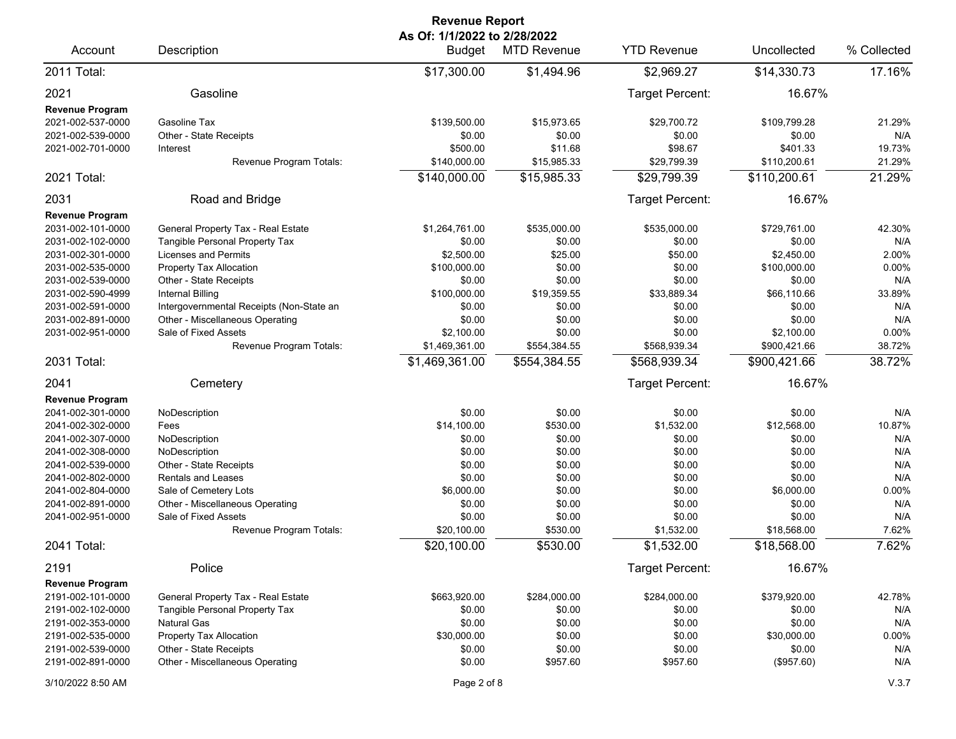|                        | <b>Revenue Report</b>                    |                                               |                    |                    |              |             |  |  |  |
|------------------------|------------------------------------------|-----------------------------------------------|--------------------|--------------------|--------------|-------------|--|--|--|
| Account                | Description                              | As Of: 1/1/2022 to 2/28/2022<br><b>Budget</b> | <b>MTD Revenue</b> | <b>YTD Revenue</b> | Uncollected  | % Collected |  |  |  |
| 2011 Total:            |                                          | \$17,300.00                                   | \$1,494.96         | \$2,969.27         | \$14,330.73  | 17.16%      |  |  |  |
| 2021                   | Gasoline                                 |                                               |                    | Target Percent:    | 16.67%       |             |  |  |  |
| <b>Revenue Program</b> |                                          |                                               |                    |                    |              |             |  |  |  |
| 2021-002-537-0000      | Gasoline Tax                             | \$139,500.00                                  | \$15,973.65        | \$29,700.72        | \$109,799.28 | 21.29%      |  |  |  |
| 2021-002-539-0000      | Other - State Receipts                   | \$0.00                                        | \$0.00             | \$0.00             | \$0.00       | N/A         |  |  |  |
| 2021-002-701-0000      | Interest                                 | \$500.00                                      | \$11.68            | \$98.67            | \$401.33     | 19.73%      |  |  |  |
|                        | Revenue Program Totals:                  | \$140,000.00                                  | \$15,985.33        | \$29,799.39        | \$110,200.61 | 21.29%      |  |  |  |
| 2021 Total:            |                                          | \$140,000.00                                  | \$15,985.33        | \$29,799.39        | \$110,200.61 | 21.29%      |  |  |  |
| 2031                   | Road and Bridge                          |                                               |                    | Target Percent:    | 16.67%       |             |  |  |  |
| <b>Revenue Program</b> |                                          |                                               |                    |                    |              |             |  |  |  |
| 2031-002-101-0000      | General Property Tax - Real Estate       | \$1,264,761.00                                | \$535,000.00       | \$535,000.00       | \$729,761.00 | 42.30%      |  |  |  |
| 2031-002-102-0000      | Tangible Personal Property Tax           | \$0.00                                        | \$0.00             | \$0.00             | \$0.00       | N/A         |  |  |  |
| 2031-002-301-0000      | <b>Licenses and Permits</b>              | \$2,500.00                                    | \$25.00            | \$50.00            | \$2,450.00   | 2.00%       |  |  |  |
| 2031-002-535-0000      | Property Tax Allocation                  | \$100,000.00                                  | \$0.00             | \$0.00             | \$100,000.00 | 0.00%       |  |  |  |
| 2031-002-539-0000      | Other - State Receipts                   | \$0.00                                        | \$0.00             | \$0.00             | \$0.00       | N/A         |  |  |  |
| 2031-002-590-4999      | <b>Internal Billing</b>                  | \$100,000.00                                  | \$19,359.55        | \$33,889.34        | \$66,110.66  | 33.89%      |  |  |  |
| 2031-002-591-0000      | Intergovernmental Receipts (Non-State an | \$0.00                                        | \$0.00             | \$0.00             | \$0.00       | N/A         |  |  |  |
| 2031-002-891-0000      | Other - Miscellaneous Operating          | \$0.00                                        | \$0.00             | \$0.00             | \$0.00       | N/A         |  |  |  |
| 2031-002-951-0000      | Sale of Fixed Assets                     | \$2,100.00                                    | \$0.00             | \$0.00             | \$2,100.00   | 0.00%       |  |  |  |
|                        | Revenue Program Totals:                  | \$1,469,361.00                                | \$554,384.55       | \$568,939.34       | \$900,421.66 | 38.72%      |  |  |  |
| 2031 Total:            |                                          | \$1,469,361.00                                | \$554,384.55       | \$568,939.34       | \$900,421.66 | 38.72%      |  |  |  |
| 2041                   | Cemetery                                 |                                               |                    | Target Percent:    | 16.67%       |             |  |  |  |
| <b>Revenue Program</b> |                                          |                                               |                    |                    |              |             |  |  |  |
| 2041-002-301-0000      | NoDescription                            | \$0.00                                        | \$0.00             | \$0.00             | \$0.00       | N/A         |  |  |  |
| 2041-002-302-0000      | Fees                                     | \$14,100.00                                   | \$530.00           | \$1,532.00         | \$12,568.00  | 10.87%      |  |  |  |
| 2041-002-307-0000      | NoDescription                            | \$0.00                                        | \$0.00             | \$0.00             | \$0.00       | N/A         |  |  |  |
| 2041-002-308-0000      | NoDescription                            | \$0.00                                        | \$0.00             | \$0.00             | \$0.00       | N/A         |  |  |  |
| 2041-002-539-0000      | Other - State Receipts                   | \$0.00                                        | \$0.00             | \$0.00             | \$0.00       | N/A         |  |  |  |
| 2041-002-802-0000      | Rentals and Leases                       | \$0.00                                        | \$0.00             | \$0.00             | \$0.00       | N/A         |  |  |  |
| 2041-002-804-0000      | Sale of Cemetery Lots                    | \$6,000.00                                    | \$0.00             | \$0.00             | \$6,000.00   | 0.00%       |  |  |  |
| 2041-002-891-0000      | Other - Miscellaneous Operating          | \$0.00                                        | \$0.00             | \$0.00             | \$0.00       | N/A         |  |  |  |
| 2041-002-951-0000      | Sale of Fixed Assets                     | \$0.00                                        | \$0.00             | \$0.00             | \$0.00       | N/A         |  |  |  |
|                        | Revenue Program Totals:                  | \$20,100.00                                   | \$530.00           | \$1,532.00         | \$18,568.00  | 7.62%       |  |  |  |
| 2041 Total:            |                                          | \$20,100.00                                   | \$530.00           | \$1,532.00         | \$18,568.00  | 7.62%       |  |  |  |
| 2191                   | Police                                   |                                               |                    | Target Percent:    | 16.67%       |             |  |  |  |
| <b>Revenue Program</b> |                                          |                                               |                    |                    |              |             |  |  |  |
| 2191-002-101-0000      | General Property Tax - Real Estate       | \$663,920.00                                  | \$284,000.00       | \$284,000.00       | \$379,920.00 | 42.78%      |  |  |  |
| 2191-002-102-0000      | Tangible Personal Property Tax           | \$0.00                                        | \$0.00             | \$0.00             | \$0.00       | N/A         |  |  |  |
| 2191-002-353-0000      | <b>Natural Gas</b>                       | \$0.00                                        | \$0.00             | \$0.00             | \$0.00       | N/A         |  |  |  |
| 2191-002-535-0000      | Property Tax Allocation                  | \$30,000.00                                   | \$0.00             | \$0.00             | \$30,000.00  | $0.00\%$    |  |  |  |
| 2191-002-539-0000      | Other - State Receipts                   | \$0.00                                        | \$0.00             | \$0.00             | \$0.00       | N/A         |  |  |  |
| 2191-002-891-0000      | Other - Miscellaneous Operating          | \$0.00                                        | \$957.60           | \$957.60           | (\$957.60)   | N/A         |  |  |  |
| 3/10/2022 8:50 AM      |                                          | Page 2 of 8                                   |                    |                    |              | V.3.7       |  |  |  |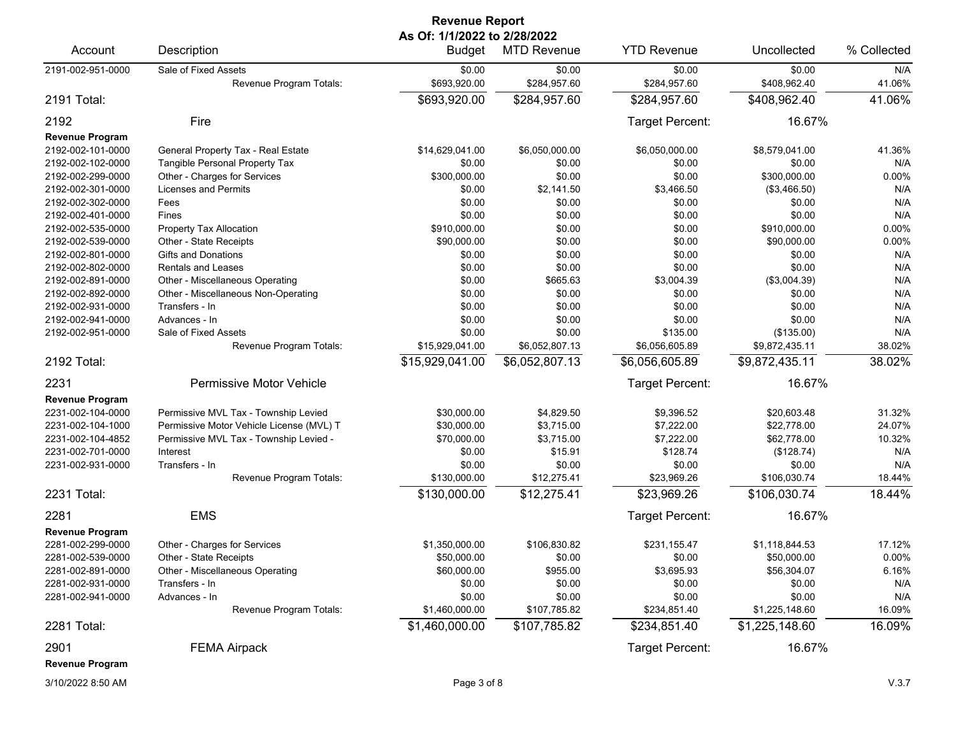| <b>Revenue Report</b>  |                                          |                                               |                    |                    |                |             |  |  |
|------------------------|------------------------------------------|-----------------------------------------------|--------------------|--------------------|----------------|-------------|--|--|
| Account                | Description                              | As Of: 1/1/2022 to 2/28/2022<br><b>Budget</b> | <b>MTD Revenue</b> | <b>YTD Revenue</b> | Uncollected    | % Collected |  |  |
| 2191-002-951-0000      | Sale of Fixed Assets                     | \$0.00                                        | \$0.00             | \$0.00             | \$0.00         | N/A         |  |  |
|                        | Revenue Program Totals:                  | \$693,920.00                                  | \$284,957.60       | \$284,957.60       | \$408,962.40   | 41.06%      |  |  |
| 2191 Total:            |                                          | \$693,920.00                                  | \$284,957.60       | \$284,957.60       | \$408,962.40   | 41.06%      |  |  |
| 2192                   | Fire                                     |                                               |                    | Target Percent:    | 16.67%         |             |  |  |
| <b>Revenue Program</b> |                                          |                                               |                    |                    |                |             |  |  |
| 2192-002-101-0000      | General Property Tax - Real Estate       | \$14,629,041.00                               | \$6,050,000.00     | \$6,050,000.00     | \$8,579,041.00 | 41.36%      |  |  |
| 2192-002-102-0000      | Tangible Personal Property Tax           | \$0.00                                        | \$0.00             | \$0.00             | \$0.00         | N/A         |  |  |
| 2192-002-299-0000      | Other - Charges for Services             | \$300,000.00                                  | \$0.00             | \$0.00             | \$300,000.00   | 0.00%       |  |  |
| 2192-002-301-0000      | Licenses and Permits                     | \$0.00                                        | \$2,141.50         | \$3,466.50         | (\$3,466.50)   | N/A         |  |  |
| 2192-002-302-0000      | Fees                                     | \$0.00                                        | \$0.00             | \$0.00             | \$0.00         | N/A         |  |  |
| 2192-002-401-0000      | Fines                                    | \$0.00                                        | \$0.00             | \$0.00             | \$0.00         | N/A         |  |  |
| 2192-002-535-0000      | Property Tax Allocation                  | \$910,000.00                                  | \$0.00             | \$0.00             | \$910,000.00   | 0.00%       |  |  |
| 2192-002-539-0000      | Other - State Receipts                   | \$90,000.00                                   | \$0.00             | \$0.00             | \$90,000.00    | 0.00%       |  |  |
| 2192-002-801-0000      | Gifts and Donations                      | \$0.00                                        | \$0.00             | \$0.00             | \$0.00         | N/A         |  |  |
| 2192-002-802-0000      | <b>Rentals and Leases</b>                | \$0.00                                        | \$0.00             | \$0.00             | \$0.00         | N/A         |  |  |
| 2192-002-891-0000      | Other - Miscellaneous Operating          | \$0.00                                        | \$665.63           | \$3,004.39         | (\$3,004.39)   | N/A         |  |  |
| 2192-002-892-0000      | Other - Miscellaneous Non-Operating      | \$0.00                                        | \$0.00             | \$0.00             | \$0.00         | N/A         |  |  |
| 2192-002-931-0000      | Transfers - In                           | \$0.00                                        | \$0.00             | \$0.00             | \$0.00         | N/A         |  |  |
| 2192-002-941-0000      | Advances - In                            | \$0.00                                        | \$0.00             | \$0.00             | \$0.00         | N/A         |  |  |
| 2192-002-951-0000      | Sale of Fixed Assets                     | \$0.00                                        | \$0.00             | \$135.00           | (\$135.00)     | N/A         |  |  |
|                        | Revenue Program Totals:                  | \$15,929,041.00                               | \$6,052,807.13     | \$6,056,605.89     | \$9,872,435.11 | 38.02%      |  |  |
| 2192 Total:            |                                          | \$15,929,041.00                               | \$6,052,807.13     | \$6,056,605.89     | \$9,872,435.11 | 38.02%      |  |  |
| 2231                   | Permissive Motor Vehicle                 |                                               |                    | Target Percent:    | 16.67%         |             |  |  |
| <b>Revenue Program</b> |                                          |                                               |                    |                    |                |             |  |  |
| 2231-002-104-0000      | Permissive MVL Tax - Township Levied     | \$30,000.00                                   | \$4,829.50         | \$9,396.52         | \$20,603.48    | 31.32%      |  |  |
| 2231-002-104-1000      | Permissive Motor Vehicle License (MVL) T | \$30,000.00                                   | \$3,715.00         | \$7,222.00         | \$22,778.00    | 24.07%      |  |  |
| 2231-002-104-4852      | Permissive MVL Tax - Township Levied -   | \$70,000.00                                   | \$3,715.00         | \$7,222.00         | \$62,778.00    | 10.32%      |  |  |
| 2231-002-701-0000      | Interest                                 | \$0.00                                        | \$15.91            | \$128.74           | (\$128.74)     | N/A         |  |  |
| 2231-002-931-0000      | Transfers - In                           | \$0.00                                        | \$0.00             | \$0.00             | \$0.00         | N/A         |  |  |
|                        | Revenue Program Totals:                  | \$130,000.00                                  | \$12,275.41        | \$23,969.26        | \$106,030.74   | 18.44%      |  |  |
| 2231 Total:            |                                          | \$130,000.00                                  | \$12,275.41        | \$23,969.26        | \$106,030.74   | 18.44%      |  |  |
| 2281                   | <b>EMS</b>                               |                                               |                    | Target Percent:    | 16.67%         |             |  |  |
| <b>Revenue Program</b> |                                          |                                               |                    |                    |                |             |  |  |
| 2281-002-299-0000      | Other - Charges for Services             | \$1,350,000.00                                | \$106,830.82       | \$231,155.47       | \$1,118,844.53 | 17.12%      |  |  |
| 2281-002-539-0000      | Other - State Receipts                   | \$50,000.00                                   | \$0.00             | \$0.00             | \$50,000.00    | 0.00%       |  |  |
| 2281-002-891-0000      | Other - Miscellaneous Operating          | \$60,000.00                                   | \$955.00           | \$3,695.93         | \$56,304.07    | 6.16%       |  |  |
| 2281-002-931-0000      | Transfers - In                           | \$0.00                                        | \$0.00             | \$0.00             | \$0.00         | N/A         |  |  |
| 2281-002-941-0000      | Advances - In                            | \$0.00                                        | \$0.00             | \$0.00             | \$0.00         | N/A         |  |  |
|                        | Revenue Program Totals:                  | \$1,460,000.00                                | \$107,785.82       | \$234,851.40       | \$1,225,148.60 | 16.09%      |  |  |
| 2281 Total:            |                                          | \$1,460,000.00                                | \$107,785.82       | \$234,851.40       | \$1,225,148.60 | 16.09%      |  |  |
| 2901                   | <b>FEMA Airpack</b>                      |                                               |                    | Target Percent:    | 16.67%         |             |  |  |
| <b>Revenue Program</b> |                                          |                                               |                    |                    |                |             |  |  |
|                        |                                          |                                               |                    |                    |                |             |  |  |

3/10/2022 8:50 AM Page 3 of 8 V.3.7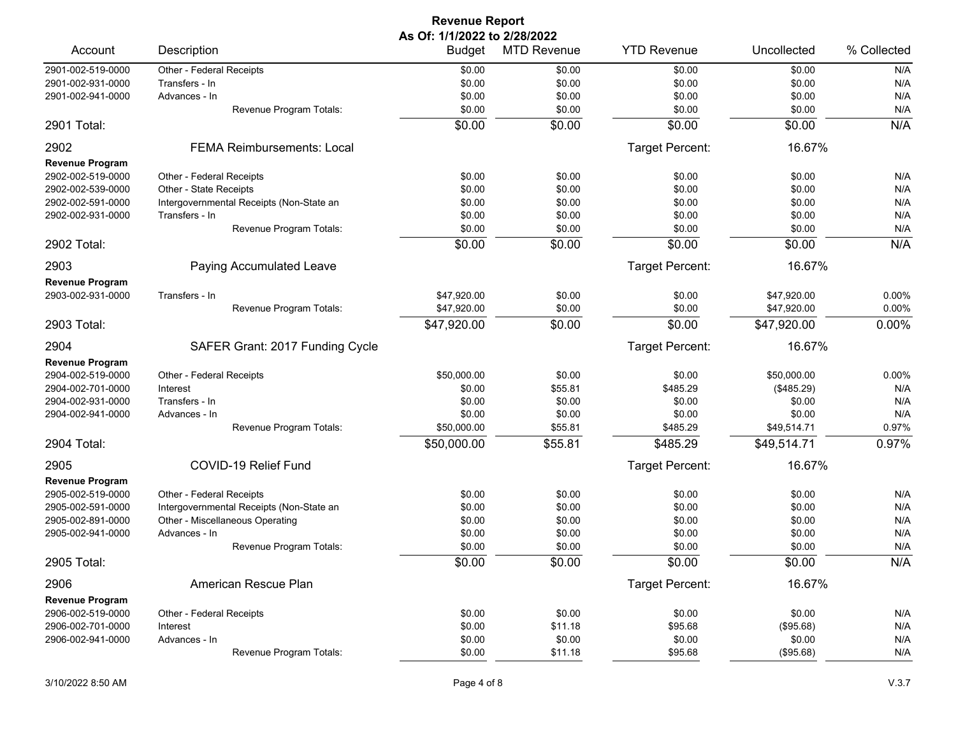| As Of: 1/1/2022 to 2/28/2022<br><b>YTD Revenue</b><br>% Collected<br>Description<br><b>MTD Revenue</b><br>Uncollected<br>Account<br>Budget<br>2901-002-519-0000<br>\$0.00<br>Other - Federal Receipts<br>\$0.00<br>\$0.00<br>N/A<br>\$0.00<br>\$0.00<br>\$0.00<br>2901-002-931-0000<br>\$0.00<br>\$0.00<br>N/A<br>Transfers - In<br>\$0.00<br>\$0.00<br>\$0.00<br>\$0.00<br>N/A<br>2901-002-941-0000<br>Advances - In<br>N/A<br>\$0.00<br>\$0.00<br>\$0.00<br>\$0.00<br>Revenue Program Totals:<br>N/A<br>\$0.00<br>\$0.00<br>\$0.00<br>\$0.00<br>2901 Total:<br>2902<br>Target Percent:<br>16.67%<br><b>FEMA Reimbursements: Local</b><br><b>Revenue Program</b><br>Other - Federal Receipts<br>\$0.00<br>\$0.00<br>N/A<br>2902-002-519-0000<br>\$0.00<br>\$0.00<br>N/A<br>\$0.00<br>\$0.00<br>\$0.00<br>\$0.00<br>2902-002-539-0000<br>Other - State Receipts<br>\$0.00<br>\$0.00<br>\$0.00<br>\$0.00<br>N/A<br>2902-002-591-0000<br>Intergovernmental Receipts (Non-State an<br>\$0.00<br>\$0.00<br>\$0.00<br>\$0.00<br>N/A<br>2902-002-931-0000<br>Transfers - In<br>\$0.00<br>\$0.00<br>\$0.00<br>N/A<br>Revenue Program Totals:<br>\$0.00<br>\$0.00<br>\$0.00<br>\$0.00<br>N/A<br>\$0.00<br>2902 Total:<br>2903<br>Target Percent:<br>16.67%<br>Paying Accumulated Leave<br><b>Revenue Program</b><br>2903-002-931-0000<br>\$47,920.00<br>\$0.00<br>\$47,920.00<br>0.00%<br>Transfers - In<br>\$0.00<br>Revenue Program Totals:<br>\$47,920.00<br>\$0.00<br>\$0.00<br>\$47,920.00<br>0.00%<br>0.00%<br>\$0.00<br>\$0.00<br>2903 Total:<br>\$47,920.00<br>\$47,920.00<br>Target Percent:<br>16.67%<br>2904<br>SAFER Grant: 2017 Funding Cycle<br><b>Revenue Program</b><br>2904-002-519-0000<br>Other - Federal Receipts<br>\$50,000.00<br>\$0.00<br>\$50,000.00<br>0.00%<br>\$0.00<br>\$0.00<br>\$55.81<br>\$485.29<br>N/A<br>2904-002-701-0000<br>Interest<br>(\$485.29)<br>Transfers - In<br>\$0.00<br>\$0.00<br>\$0.00<br>\$0.00<br>N/A<br>2904-002-931-0000<br>N/A<br>\$0.00<br>\$0.00<br>\$0.00<br>\$0.00<br>2904-002-941-0000<br>Advances - In<br>0.97%<br>\$50,000.00<br>\$55.81<br>\$485.29<br>\$49,514.71<br>Revenue Program Totals:<br>0.97%<br>\$50,000.00<br>\$55.81<br>\$485.29<br>\$49,514.71<br>2904 Total:<br>COVID-19 Relief Fund<br>Target Percent:<br>16.67%<br>2905<br><b>Revenue Program</b><br>N/A<br>2905-002-519-0000<br>Other - Federal Receipts<br>\$0.00<br>\$0.00<br>\$0.00<br>\$0.00<br>N/A<br>Intergovernmental Receipts (Non-State an<br>\$0.00<br>\$0.00<br>\$0.00<br>\$0.00<br>2905-002-591-0000<br>\$0.00<br>\$0.00<br>\$0.00<br>N/A<br>2905-002-891-0000<br>Other - Miscellaneous Operating<br>\$0.00<br>\$0.00<br>\$0.00<br>\$0.00<br>\$0.00<br>N/A<br>2905-002-941-0000<br>Advances - In<br>\$0.00<br>\$0.00<br>\$0.00<br>N/A<br>Revenue Program Totals:<br>\$0.00<br>\$0.00<br>\$0.00<br>\$0.00<br>\$0.00<br>N/A<br>2905 Total:<br>Target Percent:<br>16.67%<br>2906<br>American Rescue Plan<br><b>Revenue Program</b><br>2906-002-519-0000<br>\$0.00<br>\$0.00<br>\$0.00<br>N/A<br>Other - Federal Receipts<br>\$0.00<br>2906-002-701-0000<br>\$0.00<br>\$11.18<br>\$95.68<br>(\$95.68)<br>N/A<br>Interest<br>2906-002-941-0000<br>Advances - In<br>\$0.00<br>\$0.00<br>\$0.00<br>\$0.00<br>N/A<br>Revenue Program Totals:<br>\$0.00<br>\$11.18<br>N/A<br>\$95.68<br>(\$95.68) |  | <b>Revenue Report</b> |  |  |  |  |  |  |
|-----------------------------------------------------------------------------------------------------------------------------------------------------------------------------------------------------------------------------------------------------------------------------------------------------------------------------------------------------------------------------------------------------------------------------------------------------------------------------------------------------------------------------------------------------------------------------------------------------------------------------------------------------------------------------------------------------------------------------------------------------------------------------------------------------------------------------------------------------------------------------------------------------------------------------------------------------------------------------------------------------------------------------------------------------------------------------------------------------------------------------------------------------------------------------------------------------------------------------------------------------------------------------------------------------------------------------------------------------------------------------------------------------------------------------------------------------------------------------------------------------------------------------------------------------------------------------------------------------------------------------------------------------------------------------------------------------------------------------------------------------------------------------------------------------------------------------------------------------------------------------------------------------------------------------------------------------------------------------------------------------------------------------------------------------------------------------------------------------------------------------------------------------------------------------------------------------------------------------------------------------------------------------------------------------------------------------------------------------------------------------------------------------------------------------------------------------------------------------------------------------------------------------------------------------------------------------------------------------------------------------------------------------------------------------------------------------------------------------------------------------------------------------------------------------------------------------------------------------------------------------------------------------------------------------------------------------------------------------------------------------------------------------------------------------------------------------------------------------------------------------------------------------------------------------------------------------------------------------------------------------------------------------------------------------------------------------|--|-----------------------|--|--|--|--|--|--|
|                                                                                                                                                                                                                                                                                                                                                                                                                                                                                                                                                                                                                                                                                                                                                                                                                                                                                                                                                                                                                                                                                                                                                                                                                                                                                                                                                                                                                                                                                                                                                                                                                                                                                                                                                                                                                                                                                                                                                                                                                                                                                                                                                                                                                                                                                                                                                                                                                                                                                                                                                                                                                                                                                                                                                                                                                                                                                                                                                                                                                                                                                                                                                                                                                                                                                                                             |  |                       |  |  |  |  |  |  |
|                                                                                                                                                                                                                                                                                                                                                                                                                                                                                                                                                                                                                                                                                                                                                                                                                                                                                                                                                                                                                                                                                                                                                                                                                                                                                                                                                                                                                                                                                                                                                                                                                                                                                                                                                                                                                                                                                                                                                                                                                                                                                                                                                                                                                                                                                                                                                                                                                                                                                                                                                                                                                                                                                                                                                                                                                                                                                                                                                                                                                                                                                                                                                                                                                                                                                                                             |  |                       |  |  |  |  |  |  |
|                                                                                                                                                                                                                                                                                                                                                                                                                                                                                                                                                                                                                                                                                                                                                                                                                                                                                                                                                                                                                                                                                                                                                                                                                                                                                                                                                                                                                                                                                                                                                                                                                                                                                                                                                                                                                                                                                                                                                                                                                                                                                                                                                                                                                                                                                                                                                                                                                                                                                                                                                                                                                                                                                                                                                                                                                                                                                                                                                                                                                                                                                                                                                                                                                                                                                                                             |  |                       |  |  |  |  |  |  |
|                                                                                                                                                                                                                                                                                                                                                                                                                                                                                                                                                                                                                                                                                                                                                                                                                                                                                                                                                                                                                                                                                                                                                                                                                                                                                                                                                                                                                                                                                                                                                                                                                                                                                                                                                                                                                                                                                                                                                                                                                                                                                                                                                                                                                                                                                                                                                                                                                                                                                                                                                                                                                                                                                                                                                                                                                                                                                                                                                                                                                                                                                                                                                                                                                                                                                                                             |  |                       |  |  |  |  |  |  |
|                                                                                                                                                                                                                                                                                                                                                                                                                                                                                                                                                                                                                                                                                                                                                                                                                                                                                                                                                                                                                                                                                                                                                                                                                                                                                                                                                                                                                                                                                                                                                                                                                                                                                                                                                                                                                                                                                                                                                                                                                                                                                                                                                                                                                                                                                                                                                                                                                                                                                                                                                                                                                                                                                                                                                                                                                                                                                                                                                                                                                                                                                                                                                                                                                                                                                                                             |  |                       |  |  |  |  |  |  |
|                                                                                                                                                                                                                                                                                                                                                                                                                                                                                                                                                                                                                                                                                                                                                                                                                                                                                                                                                                                                                                                                                                                                                                                                                                                                                                                                                                                                                                                                                                                                                                                                                                                                                                                                                                                                                                                                                                                                                                                                                                                                                                                                                                                                                                                                                                                                                                                                                                                                                                                                                                                                                                                                                                                                                                                                                                                                                                                                                                                                                                                                                                                                                                                                                                                                                                                             |  |                       |  |  |  |  |  |  |
|                                                                                                                                                                                                                                                                                                                                                                                                                                                                                                                                                                                                                                                                                                                                                                                                                                                                                                                                                                                                                                                                                                                                                                                                                                                                                                                                                                                                                                                                                                                                                                                                                                                                                                                                                                                                                                                                                                                                                                                                                                                                                                                                                                                                                                                                                                                                                                                                                                                                                                                                                                                                                                                                                                                                                                                                                                                                                                                                                                                                                                                                                                                                                                                                                                                                                                                             |  |                       |  |  |  |  |  |  |
|                                                                                                                                                                                                                                                                                                                                                                                                                                                                                                                                                                                                                                                                                                                                                                                                                                                                                                                                                                                                                                                                                                                                                                                                                                                                                                                                                                                                                                                                                                                                                                                                                                                                                                                                                                                                                                                                                                                                                                                                                                                                                                                                                                                                                                                                                                                                                                                                                                                                                                                                                                                                                                                                                                                                                                                                                                                                                                                                                                                                                                                                                                                                                                                                                                                                                                                             |  |                       |  |  |  |  |  |  |
|                                                                                                                                                                                                                                                                                                                                                                                                                                                                                                                                                                                                                                                                                                                                                                                                                                                                                                                                                                                                                                                                                                                                                                                                                                                                                                                                                                                                                                                                                                                                                                                                                                                                                                                                                                                                                                                                                                                                                                                                                                                                                                                                                                                                                                                                                                                                                                                                                                                                                                                                                                                                                                                                                                                                                                                                                                                                                                                                                                                                                                                                                                                                                                                                                                                                                                                             |  |                       |  |  |  |  |  |  |
|                                                                                                                                                                                                                                                                                                                                                                                                                                                                                                                                                                                                                                                                                                                                                                                                                                                                                                                                                                                                                                                                                                                                                                                                                                                                                                                                                                                                                                                                                                                                                                                                                                                                                                                                                                                                                                                                                                                                                                                                                                                                                                                                                                                                                                                                                                                                                                                                                                                                                                                                                                                                                                                                                                                                                                                                                                                                                                                                                                                                                                                                                                                                                                                                                                                                                                                             |  |                       |  |  |  |  |  |  |
|                                                                                                                                                                                                                                                                                                                                                                                                                                                                                                                                                                                                                                                                                                                                                                                                                                                                                                                                                                                                                                                                                                                                                                                                                                                                                                                                                                                                                                                                                                                                                                                                                                                                                                                                                                                                                                                                                                                                                                                                                                                                                                                                                                                                                                                                                                                                                                                                                                                                                                                                                                                                                                                                                                                                                                                                                                                                                                                                                                                                                                                                                                                                                                                                                                                                                                                             |  |                       |  |  |  |  |  |  |
|                                                                                                                                                                                                                                                                                                                                                                                                                                                                                                                                                                                                                                                                                                                                                                                                                                                                                                                                                                                                                                                                                                                                                                                                                                                                                                                                                                                                                                                                                                                                                                                                                                                                                                                                                                                                                                                                                                                                                                                                                                                                                                                                                                                                                                                                                                                                                                                                                                                                                                                                                                                                                                                                                                                                                                                                                                                                                                                                                                                                                                                                                                                                                                                                                                                                                                                             |  |                       |  |  |  |  |  |  |
|                                                                                                                                                                                                                                                                                                                                                                                                                                                                                                                                                                                                                                                                                                                                                                                                                                                                                                                                                                                                                                                                                                                                                                                                                                                                                                                                                                                                                                                                                                                                                                                                                                                                                                                                                                                                                                                                                                                                                                                                                                                                                                                                                                                                                                                                                                                                                                                                                                                                                                                                                                                                                                                                                                                                                                                                                                                                                                                                                                                                                                                                                                                                                                                                                                                                                                                             |  |                       |  |  |  |  |  |  |
|                                                                                                                                                                                                                                                                                                                                                                                                                                                                                                                                                                                                                                                                                                                                                                                                                                                                                                                                                                                                                                                                                                                                                                                                                                                                                                                                                                                                                                                                                                                                                                                                                                                                                                                                                                                                                                                                                                                                                                                                                                                                                                                                                                                                                                                                                                                                                                                                                                                                                                                                                                                                                                                                                                                                                                                                                                                                                                                                                                                                                                                                                                                                                                                                                                                                                                                             |  |                       |  |  |  |  |  |  |
|                                                                                                                                                                                                                                                                                                                                                                                                                                                                                                                                                                                                                                                                                                                                                                                                                                                                                                                                                                                                                                                                                                                                                                                                                                                                                                                                                                                                                                                                                                                                                                                                                                                                                                                                                                                                                                                                                                                                                                                                                                                                                                                                                                                                                                                                                                                                                                                                                                                                                                                                                                                                                                                                                                                                                                                                                                                                                                                                                                                                                                                                                                                                                                                                                                                                                                                             |  |                       |  |  |  |  |  |  |
|                                                                                                                                                                                                                                                                                                                                                                                                                                                                                                                                                                                                                                                                                                                                                                                                                                                                                                                                                                                                                                                                                                                                                                                                                                                                                                                                                                                                                                                                                                                                                                                                                                                                                                                                                                                                                                                                                                                                                                                                                                                                                                                                                                                                                                                                                                                                                                                                                                                                                                                                                                                                                                                                                                                                                                                                                                                                                                                                                                                                                                                                                                                                                                                                                                                                                                                             |  |                       |  |  |  |  |  |  |
|                                                                                                                                                                                                                                                                                                                                                                                                                                                                                                                                                                                                                                                                                                                                                                                                                                                                                                                                                                                                                                                                                                                                                                                                                                                                                                                                                                                                                                                                                                                                                                                                                                                                                                                                                                                                                                                                                                                                                                                                                                                                                                                                                                                                                                                                                                                                                                                                                                                                                                                                                                                                                                                                                                                                                                                                                                                                                                                                                                                                                                                                                                                                                                                                                                                                                                                             |  |                       |  |  |  |  |  |  |
|                                                                                                                                                                                                                                                                                                                                                                                                                                                                                                                                                                                                                                                                                                                                                                                                                                                                                                                                                                                                                                                                                                                                                                                                                                                                                                                                                                                                                                                                                                                                                                                                                                                                                                                                                                                                                                                                                                                                                                                                                                                                                                                                                                                                                                                                                                                                                                                                                                                                                                                                                                                                                                                                                                                                                                                                                                                                                                                                                                                                                                                                                                                                                                                                                                                                                                                             |  |                       |  |  |  |  |  |  |
|                                                                                                                                                                                                                                                                                                                                                                                                                                                                                                                                                                                                                                                                                                                                                                                                                                                                                                                                                                                                                                                                                                                                                                                                                                                                                                                                                                                                                                                                                                                                                                                                                                                                                                                                                                                                                                                                                                                                                                                                                                                                                                                                                                                                                                                                                                                                                                                                                                                                                                                                                                                                                                                                                                                                                                                                                                                                                                                                                                                                                                                                                                                                                                                                                                                                                                                             |  |                       |  |  |  |  |  |  |
|                                                                                                                                                                                                                                                                                                                                                                                                                                                                                                                                                                                                                                                                                                                                                                                                                                                                                                                                                                                                                                                                                                                                                                                                                                                                                                                                                                                                                                                                                                                                                                                                                                                                                                                                                                                                                                                                                                                                                                                                                                                                                                                                                                                                                                                                                                                                                                                                                                                                                                                                                                                                                                                                                                                                                                                                                                                                                                                                                                                                                                                                                                                                                                                                                                                                                                                             |  |                       |  |  |  |  |  |  |
|                                                                                                                                                                                                                                                                                                                                                                                                                                                                                                                                                                                                                                                                                                                                                                                                                                                                                                                                                                                                                                                                                                                                                                                                                                                                                                                                                                                                                                                                                                                                                                                                                                                                                                                                                                                                                                                                                                                                                                                                                                                                                                                                                                                                                                                                                                                                                                                                                                                                                                                                                                                                                                                                                                                                                                                                                                                                                                                                                                                                                                                                                                                                                                                                                                                                                                                             |  |                       |  |  |  |  |  |  |
|                                                                                                                                                                                                                                                                                                                                                                                                                                                                                                                                                                                                                                                                                                                                                                                                                                                                                                                                                                                                                                                                                                                                                                                                                                                                                                                                                                                                                                                                                                                                                                                                                                                                                                                                                                                                                                                                                                                                                                                                                                                                                                                                                                                                                                                                                                                                                                                                                                                                                                                                                                                                                                                                                                                                                                                                                                                                                                                                                                                                                                                                                                                                                                                                                                                                                                                             |  |                       |  |  |  |  |  |  |
|                                                                                                                                                                                                                                                                                                                                                                                                                                                                                                                                                                                                                                                                                                                                                                                                                                                                                                                                                                                                                                                                                                                                                                                                                                                                                                                                                                                                                                                                                                                                                                                                                                                                                                                                                                                                                                                                                                                                                                                                                                                                                                                                                                                                                                                                                                                                                                                                                                                                                                                                                                                                                                                                                                                                                                                                                                                                                                                                                                                                                                                                                                                                                                                                                                                                                                                             |  |                       |  |  |  |  |  |  |
|                                                                                                                                                                                                                                                                                                                                                                                                                                                                                                                                                                                                                                                                                                                                                                                                                                                                                                                                                                                                                                                                                                                                                                                                                                                                                                                                                                                                                                                                                                                                                                                                                                                                                                                                                                                                                                                                                                                                                                                                                                                                                                                                                                                                                                                                                                                                                                                                                                                                                                                                                                                                                                                                                                                                                                                                                                                                                                                                                                                                                                                                                                                                                                                                                                                                                                                             |  |                       |  |  |  |  |  |  |
|                                                                                                                                                                                                                                                                                                                                                                                                                                                                                                                                                                                                                                                                                                                                                                                                                                                                                                                                                                                                                                                                                                                                                                                                                                                                                                                                                                                                                                                                                                                                                                                                                                                                                                                                                                                                                                                                                                                                                                                                                                                                                                                                                                                                                                                                                                                                                                                                                                                                                                                                                                                                                                                                                                                                                                                                                                                                                                                                                                                                                                                                                                                                                                                                                                                                                                                             |  |                       |  |  |  |  |  |  |
|                                                                                                                                                                                                                                                                                                                                                                                                                                                                                                                                                                                                                                                                                                                                                                                                                                                                                                                                                                                                                                                                                                                                                                                                                                                                                                                                                                                                                                                                                                                                                                                                                                                                                                                                                                                                                                                                                                                                                                                                                                                                                                                                                                                                                                                                                                                                                                                                                                                                                                                                                                                                                                                                                                                                                                                                                                                                                                                                                                                                                                                                                                                                                                                                                                                                                                                             |  |                       |  |  |  |  |  |  |
|                                                                                                                                                                                                                                                                                                                                                                                                                                                                                                                                                                                                                                                                                                                                                                                                                                                                                                                                                                                                                                                                                                                                                                                                                                                                                                                                                                                                                                                                                                                                                                                                                                                                                                                                                                                                                                                                                                                                                                                                                                                                                                                                                                                                                                                                                                                                                                                                                                                                                                                                                                                                                                                                                                                                                                                                                                                                                                                                                                                                                                                                                                                                                                                                                                                                                                                             |  |                       |  |  |  |  |  |  |
|                                                                                                                                                                                                                                                                                                                                                                                                                                                                                                                                                                                                                                                                                                                                                                                                                                                                                                                                                                                                                                                                                                                                                                                                                                                                                                                                                                                                                                                                                                                                                                                                                                                                                                                                                                                                                                                                                                                                                                                                                                                                                                                                                                                                                                                                                                                                                                                                                                                                                                                                                                                                                                                                                                                                                                                                                                                                                                                                                                                                                                                                                                                                                                                                                                                                                                                             |  |                       |  |  |  |  |  |  |
|                                                                                                                                                                                                                                                                                                                                                                                                                                                                                                                                                                                                                                                                                                                                                                                                                                                                                                                                                                                                                                                                                                                                                                                                                                                                                                                                                                                                                                                                                                                                                                                                                                                                                                                                                                                                                                                                                                                                                                                                                                                                                                                                                                                                                                                                                                                                                                                                                                                                                                                                                                                                                                                                                                                                                                                                                                                                                                                                                                                                                                                                                                                                                                                                                                                                                                                             |  |                       |  |  |  |  |  |  |
|                                                                                                                                                                                                                                                                                                                                                                                                                                                                                                                                                                                                                                                                                                                                                                                                                                                                                                                                                                                                                                                                                                                                                                                                                                                                                                                                                                                                                                                                                                                                                                                                                                                                                                                                                                                                                                                                                                                                                                                                                                                                                                                                                                                                                                                                                                                                                                                                                                                                                                                                                                                                                                                                                                                                                                                                                                                                                                                                                                                                                                                                                                                                                                                                                                                                                                                             |  |                       |  |  |  |  |  |  |
|                                                                                                                                                                                                                                                                                                                                                                                                                                                                                                                                                                                                                                                                                                                                                                                                                                                                                                                                                                                                                                                                                                                                                                                                                                                                                                                                                                                                                                                                                                                                                                                                                                                                                                                                                                                                                                                                                                                                                                                                                                                                                                                                                                                                                                                                                                                                                                                                                                                                                                                                                                                                                                                                                                                                                                                                                                                                                                                                                                                                                                                                                                                                                                                                                                                                                                                             |  |                       |  |  |  |  |  |  |
|                                                                                                                                                                                                                                                                                                                                                                                                                                                                                                                                                                                                                                                                                                                                                                                                                                                                                                                                                                                                                                                                                                                                                                                                                                                                                                                                                                                                                                                                                                                                                                                                                                                                                                                                                                                                                                                                                                                                                                                                                                                                                                                                                                                                                                                                                                                                                                                                                                                                                                                                                                                                                                                                                                                                                                                                                                                                                                                                                                                                                                                                                                                                                                                                                                                                                                                             |  |                       |  |  |  |  |  |  |
|                                                                                                                                                                                                                                                                                                                                                                                                                                                                                                                                                                                                                                                                                                                                                                                                                                                                                                                                                                                                                                                                                                                                                                                                                                                                                                                                                                                                                                                                                                                                                                                                                                                                                                                                                                                                                                                                                                                                                                                                                                                                                                                                                                                                                                                                                                                                                                                                                                                                                                                                                                                                                                                                                                                                                                                                                                                                                                                                                                                                                                                                                                                                                                                                                                                                                                                             |  |                       |  |  |  |  |  |  |
|                                                                                                                                                                                                                                                                                                                                                                                                                                                                                                                                                                                                                                                                                                                                                                                                                                                                                                                                                                                                                                                                                                                                                                                                                                                                                                                                                                                                                                                                                                                                                                                                                                                                                                                                                                                                                                                                                                                                                                                                                                                                                                                                                                                                                                                                                                                                                                                                                                                                                                                                                                                                                                                                                                                                                                                                                                                                                                                                                                                                                                                                                                                                                                                                                                                                                                                             |  |                       |  |  |  |  |  |  |
|                                                                                                                                                                                                                                                                                                                                                                                                                                                                                                                                                                                                                                                                                                                                                                                                                                                                                                                                                                                                                                                                                                                                                                                                                                                                                                                                                                                                                                                                                                                                                                                                                                                                                                                                                                                                                                                                                                                                                                                                                                                                                                                                                                                                                                                                                                                                                                                                                                                                                                                                                                                                                                                                                                                                                                                                                                                                                                                                                                                                                                                                                                                                                                                                                                                                                                                             |  |                       |  |  |  |  |  |  |
|                                                                                                                                                                                                                                                                                                                                                                                                                                                                                                                                                                                                                                                                                                                                                                                                                                                                                                                                                                                                                                                                                                                                                                                                                                                                                                                                                                                                                                                                                                                                                                                                                                                                                                                                                                                                                                                                                                                                                                                                                                                                                                                                                                                                                                                                                                                                                                                                                                                                                                                                                                                                                                                                                                                                                                                                                                                                                                                                                                                                                                                                                                                                                                                                                                                                                                                             |  |                       |  |  |  |  |  |  |
|                                                                                                                                                                                                                                                                                                                                                                                                                                                                                                                                                                                                                                                                                                                                                                                                                                                                                                                                                                                                                                                                                                                                                                                                                                                                                                                                                                                                                                                                                                                                                                                                                                                                                                                                                                                                                                                                                                                                                                                                                                                                                                                                                                                                                                                                                                                                                                                                                                                                                                                                                                                                                                                                                                                                                                                                                                                                                                                                                                                                                                                                                                                                                                                                                                                                                                                             |  |                       |  |  |  |  |  |  |
|                                                                                                                                                                                                                                                                                                                                                                                                                                                                                                                                                                                                                                                                                                                                                                                                                                                                                                                                                                                                                                                                                                                                                                                                                                                                                                                                                                                                                                                                                                                                                                                                                                                                                                                                                                                                                                                                                                                                                                                                                                                                                                                                                                                                                                                                                                                                                                                                                                                                                                                                                                                                                                                                                                                                                                                                                                                                                                                                                                                                                                                                                                                                                                                                                                                                                                                             |  |                       |  |  |  |  |  |  |
|                                                                                                                                                                                                                                                                                                                                                                                                                                                                                                                                                                                                                                                                                                                                                                                                                                                                                                                                                                                                                                                                                                                                                                                                                                                                                                                                                                                                                                                                                                                                                                                                                                                                                                                                                                                                                                                                                                                                                                                                                                                                                                                                                                                                                                                                                                                                                                                                                                                                                                                                                                                                                                                                                                                                                                                                                                                                                                                                                                                                                                                                                                                                                                                                                                                                                                                             |  |                       |  |  |  |  |  |  |
|                                                                                                                                                                                                                                                                                                                                                                                                                                                                                                                                                                                                                                                                                                                                                                                                                                                                                                                                                                                                                                                                                                                                                                                                                                                                                                                                                                                                                                                                                                                                                                                                                                                                                                                                                                                                                                                                                                                                                                                                                                                                                                                                                                                                                                                                                                                                                                                                                                                                                                                                                                                                                                                                                                                                                                                                                                                                                                                                                                                                                                                                                                                                                                                                                                                                                                                             |  |                       |  |  |  |  |  |  |
|                                                                                                                                                                                                                                                                                                                                                                                                                                                                                                                                                                                                                                                                                                                                                                                                                                                                                                                                                                                                                                                                                                                                                                                                                                                                                                                                                                                                                                                                                                                                                                                                                                                                                                                                                                                                                                                                                                                                                                                                                                                                                                                                                                                                                                                                                                                                                                                                                                                                                                                                                                                                                                                                                                                                                                                                                                                                                                                                                                                                                                                                                                                                                                                                                                                                                                                             |  |                       |  |  |  |  |  |  |
|                                                                                                                                                                                                                                                                                                                                                                                                                                                                                                                                                                                                                                                                                                                                                                                                                                                                                                                                                                                                                                                                                                                                                                                                                                                                                                                                                                                                                                                                                                                                                                                                                                                                                                                                                                                                                                                                                                                                                                                                                                                                                                                                                                                                                                                                                                                                                                                                                                                                                                                                                                                                                                                                                                                                                                                                                                                                                                                                                                                                                                                                                                                                                                                                                                                                                                                             |  |                       |  |  |  |  |  |  |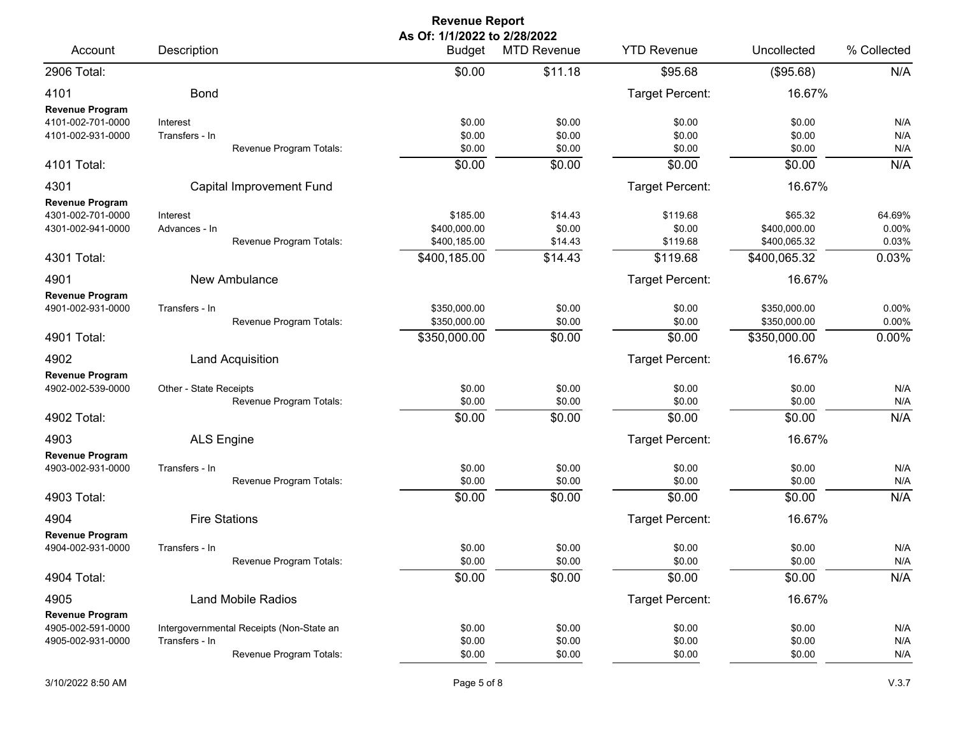| <b>Revenue Report</b>                                                           |                                                                                       |                                                          |                                         |                                            |                                                         |                                   |  |  |
|---------------------------------------------------------------------------------|---------------------------------------------------------------------------------------|----------------------------------------------------------|-----------------------------------------|--------------------------------------------|---------------------------------------------------------|-----------------------------------|--|--|
| Account                                                                         | Description                                                                           | As Of: 1/1/2022 to 2/28/2022<br>Budget                   | <b>MTD Revenue</b>                      | <b>YTD Revenue</b>                         | Uncollected                                             | % Collected                       |  |  |
| 2906 Total:                                                                     |                                                                                       | \$0.00                                                   | \$11.18                                 | \$95.68                                    | (\$95.68)                                               | N/A                               |  |  |
| 4101                                                                            | <b>Bond</b>                                                                           |                                                          |                                         | Target Percent:                            | 16.67%                                                  |                                   |  |  |
| <b>Revenue Program</b><br>4101-002-701-0000<br>4101-002-931-0000                | Interest<br>Transfers - In<br>Revenue Program Totals:                                 | \$0.00<br>\$0.00<br>\$0.00                               | \$0.00<br>\$0.00<br>\$0.00              | \$0.00<br>\$0.00<br>\$0.00                 | \$0.00<br>\$0.00<br>\$0.00                              | N/A<br>N/A<br>N/A                 |  |  |
| 4101 Total:                                                                     |                                                                                       | \$0.00                                                   | \$0.00                                  | \$0.00                                     | \$0.00                                                  | N/A                               |  |  |
| 4301                                                                            | Capital Improvement Fund                                                              |                                                          |                                         | Target Percent:                            | 16.67%                                                  |                                   |  |  |
| <b>Revenue Program</b><br>4301-002-701-0000<br>4301-002-941-0000<br>4301 Total: | Interest<br>Advances - In<br>Revenue Program Totals:                                  | \$185.00<br>\$400,000.00<br>\$400,185.00<br>\$400,185.00 | \$14.43<br>\$0.00<br>\$14.43<br>\$14.43 | \$119.68<br>\$0.00<br>\$119.68<br>\$119.68 | \$65.32<br>\$400,000.00<br>\$400,065.32<br>\$400,065.32 | 64.69%<br>0.00%<br>0.03%<br>0.03% |  |  |
| 4901                                                                            | New Ambulance                                                                         |                                                          |                                         | Target Percent:                            | 16.67%                                                  |                                   |  |  |
| <b>Revenue Program</b><br>4901-002-931-0000                                     | Transfers - In<br>Revenue Program Totals:                                             | \$350,000.00<br>\$350,000.00                             | \$0.00<br>\$0.00                        | \$0.00<br>\$0.00                           | \$350,000.00<br>\$350,000.00                            | 0.00%<br>0.00%                    |  |  |
| 4901 Total:                                                                     |                                                                                       | \$350,000.00                                             | \$0.00                                  | \$0.00                                     | \$350,000.00                                            | 0.00%                             |  |  |
| 4902                                                                            | <b>Land Acquisition</b>                                                               |                                                          |                                         | Target Percent:                            | 16.67%                                                  |                                   |  |  |
| <b>Revenue Program</b><br>4902-002-539-0000<br>4902 Total:                      | Other - State Receipts<br>Revenue Program Totals:                                     | \$0.00<br>\$0.00<br>\$0.00                               | \$0.00<br>\$0.00<br>\$0.00              | \$0.00<br>\$0.00<br>\$0.00                 | \$0.00<br>\$0.00<br>\$0.00                              | N/A<br>N/A<br>N/A                 |  |  |
| 4903                                                                            | <b>ALS Engine</b>                                                                     |                                                          |                                         | Target Percent:                            | 16.67%                                                  |                                   |  |  |
| <b>Revenue Program</b><br>4903-002-931-0000<br>4903 Total:                      | Transfers - In<br>Revenue Program Totals:                                             | \$0.00<br>\$0.00<br>\$0.00                               | \$0.00<br>\$0.00<br>\$0.00              | \$0.00<br>\$0.00<br>\$0.00                 | \$0.00<br>\$0.00<br>\$0.00                              | N/A<br>N/A<br>N/A                 |  |  |
| 4904                                                                            | <b>Fire Stations</b>                                                                  |                                                          |                                         | Target Percent:                            | 16.67%                                                  |                                   |  |  |
| <b>Revenue Program</b><br>4904-002-931-0000                                     | Transfers - In<br>Revenue Program Totals:                                             | \$0.00<br>\$0.00                                         | \$0.00<br>\$0.00                        | \$0.00<br>\$0.00                           | \$0.00<br>\$0.00                                        | N/A<br>N/A                        |  |  |
| 4904 Total:                                                                     |                                                                                       | \$0.00                                                   | $\overline{$}0.00$                      | \$0.00                                     | \$0.00                                                  | N/A                               |  |  |
| 4905<br><b>Revenue Program</b>                                                  | <b>Land Mobile Radios</b>                                                             |                                                          |                                         | Target Percent:                            | 16.67%                                                  |                                   |  |  |
| 4905-002-591-0000<br>4905-002-931-0000                                          | Intergovernmental Receipts (Non-State an<br>Transfers - In<br>Revenue Program Totals: | \$0.00<br>\$0.00<br>\$0.00                               | \$0.00<br>\$0.00<br>\$0.00              | \$0.00<br>\$0.00<br>\$0.00                 | \$0.00<br>\$0.00<br>\$0.00                              | N/A<br>N/A<br>N/A                 |  |  |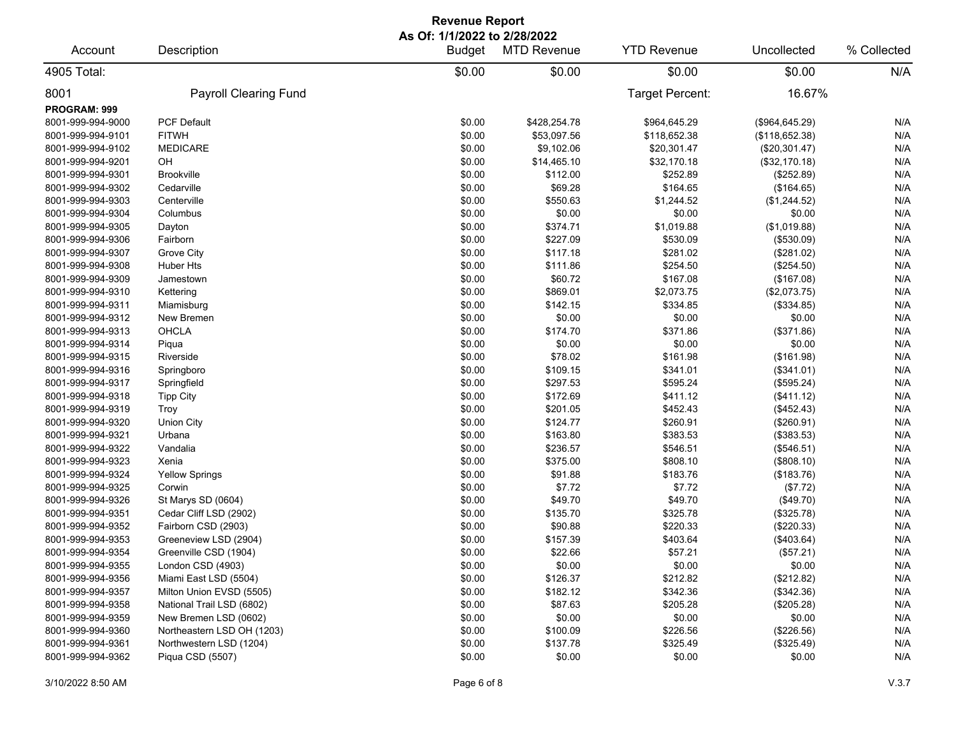| <b>Revenue Report</b> |                              |                              |                    |                    |                 |             |  |  |
|-----------------------|------------------------------|------------------------------|--------------------|--------------------|-----------------|-------------|--|--|
|                       |                              | As Of: 1/1/2022 to 2/28/2022 |                    | <b>YTD Revenue</b> | Uncollected     | % Collected |  |  |
| Account               | Description                  | <b>Budget</b>                | <b>MTD Revenue</b> |                    |                 |             |  |  |
| 4905 Total:           |                              | \$0.00                       | \$0.00             | \$0.00             | \$0.00          | N/A         |  |  |
| 8001                  | <b>Payroll Clearing Fund</b> |                              |                    | Target Percent:    | 16.67%          |             |  |  |
| <b>PROGRAM: 999</b>   |                              |                              |                    |                    |                 |             |  |  |
| 8001-999-994-9000     | <b>PCF Default</b>           | \$0.00                       | \$428,254.78       | \$964,645.29       | (\$964, 645.29) | N/A         |  |  |
| 8001-999-994-9101     | <b>FITWH</b>                 | \$0.00                       | \$53,097.56        | \$118,652.38       | (\$118,652.38)  | N/A         |  |  |
| 8001-999-994-9102     | <b>MEDICARE</b>              | \$0.00                       | \$9,102.06         | \$20,301.47        | (\$20,301.47)   | N/A         |  |  |
| 8001-999-994-9201     | OH                           | \$0.00                       | \$14,465.10        | \$32,170.18        | (\$32,170.18)   | N/A         |  |  |
| 8001-999-994-9301     | <b>Brookville</b>            | \$0.00                       | \$112.00           | \$252.89           | (\$252.89)      | N/A         |  |  |
| 8001-999-994-9302     | Cedarville                   | \$0.00                       | \$69.28            | \$164.65           | (\$164.65)      | N/A         |  |  |
| 8001-999-994-9303     | Centerville                  | \$0.00                       | \$550.63           | \$1,244.52         | (\$1,244.52)    | N/A         |  |  |
| 8001-999-994-9304     | Columbus                     | \$0.00                       | \$0.00             | \$0.00             | \$0.00          | N/A         |  |  |
| 8001-999-994-9305     | Dayton                       | \$0.00                       | \$374.71           | \$1,019.88         | (\$1,019.88)    | N/A         |  |  |
| 8001-999-994-9306     | Fairborn                     | \$0.00                       | \$227.09           | \$530.09           | (\$530.09)      | N/A         |  |  |
| 8001-999-994-9307     | Grove City                   | \$0.00                       | \$117.18           | \$281.02           | (\$281.02)      | N/A         |  |  |
| 8001-999-994-9308     | Huber Hts                    | \$0.00                       | \$111.86           | \$254.50           | (\$254.50)      | N/A         |  |  |
| 8001-999-994-9309     | Jamestown                    | \$0.00                       | \$60.72            | \$167.08           | (\$167.08)      | N/A         |  |  |
| 8001-999-994-9310     | Kettering                    | \$0.00                       | \$869.01           | \$2,073.75         | (\$2,073.75)    | N/A         |  |  |
| 8001-999-994-9311     | Miamisburg                   | \$0.00                       | \$142.15           | \$334.85           | (\$334.85)      | N/A         |  |  |
| 8001-999-994-9312     | New Bremen                   | \$0.00                       | \$0.00             | \$0.00             | \$0.00          | N/A         |  |  |
| 8001-999-994-9313     | OHCLA                        | \$0.00                       | \$174.70           | \$371.86           | (\$371.86)      | N/A         |  |  |
| 8001-999-994-9314     | Piqua                        | \$0.00                       | \$0.00             | \$0.00             | \$0.00          | N/A         |  |  |
| 8001-999-994-9315     | Riverside                    | \$0.00                       | \$78.02            | \$161.98           | (\$161.98)      | N/A         |  |  |
| 8001-999-994-9316     | Springboro                   | \$0.00                       | \$109.15           | \$341.01           | (\$341.01)      | N/A         |  |  |
| 8001-999-994-9317     | Springfield                  | \$0.00                       | \$297.53           | \$595.24           | (\$595.24)      | N/A         |  |  |
| 8001-999-994-9318     | <b>Tipp City</b>             | \$0.00                       | \$172.69           | \$411.12           | (\$411.12)      | N/A         |  |  |
| 8001-999-994-9319     | Troy                         | \$0.00                       | \$201.05           | \$452.43           | (\$452.43)      | N/A         |  |  |
| 8001-999-994-9320     | Union City                   | \$0.00                       | \$124.77           | \$260.91           | (\$260.91)      | N/A         |  |  |
| 8001-999-994-9321     | Urbana                       | \$0.00                       | \$163.80           | \$383.53           | (\$383.53)      | N/A         |  |  |
| 8001-999-994-9322     | Vandalia                     | \$0.00                       | \$236.57           | \$546.51           | (\$546.51)      | N/A         |  |  |
| 8001-999-994-9323     | Xenia                        | \$0.00                       | \$375.00           | \$808.10           | (\$808.10)      | N/A         |  |  |
| 8001-999-994-9324     | <b>Yellow Springs</b>        | \$0.00                       | \$91.88            | \$183.76           | (\$183.76)      | N/A         |  |  |
| 8001-999-994-9325     | Corwin                       | \$0.00                       | \$7.72             | \$7.72             | (\$7.72)        | N/A         |  |  |
| 8001-999-994-9326     | St Marys SD (0604)           | \$0.00                       | \$49.70            | \$49.70            | (\$49.70)       | N/A         |  |  |
| 8001-999-994-9351     | Cedar Cliff LSD (2902)       | \$0.00                       | \$135.70           | \$325.78           | (\$325.78)      | N/A         |  |  |
| 8001-999-994-9352     | Fairborn CSD (2903)          | \$0.00                       | \$90.88            | \$220.33           | $(\$220.33)$    | N/A         |  |  |
| 8001-999-994-9353     | Greeneview LSD (2904)        | \$0.00                       | \$157.39           | \$403.64           | (\$403.64)      | N/A         |  |  |
| 8001-999-994-9354     | Greenville CSD (1904)        | \$0.00                       | \$22.66            | \$57.21            | (\$57.21)       | N/A         |  |  |
| 8001-999-994-9355     | London CSD (4903)            | \$0.00                       | \$0.00             | \$0.00             | \$0.00          | N/A         |  |  |
| 8001-999-994-9356     | Miami East LSD (5504)        | \$0.00                       | \$126.37           | \$212.82           | (\$212.82)      | N/A         |  |  |
| 8001-999-994-9357     | Milton Union EVSD (5505)     | \$0.00                       | \$182.12           | \$342.36           | (\$342.36)      | N/A         |  |  |
| 8001-999-994-9358     | National Trail LSD (6802)    | \$0.00                       | \$87.63            | \$205.28           | (\$205.28)      | N/A         |  |  |
| 8001-999-994-9359     | New Bremen LSD (0602)        | \$0.00                       | \$0.00             | \$0.00             | \$0.00          | N/A         |  |  |
| 8001-999-994-9360     | Northeastern LSD OH (1203)   | \$0.00                       | \$100.09           | \$226.56           | (\$226.56)      | N/A         |  |  |
| 8001-999-994-9361     | Northwestern LSD (1204)      | \$0.00                       | \$137.78           | \$325.49           | (\$325.49)      | N/A         |  |  |
| 8001-999-994-9362     | Piqua CSD (5507)             | \$0.00                       | \$0.00             | \$0.00             | \$0.00          | N/A         |  |  |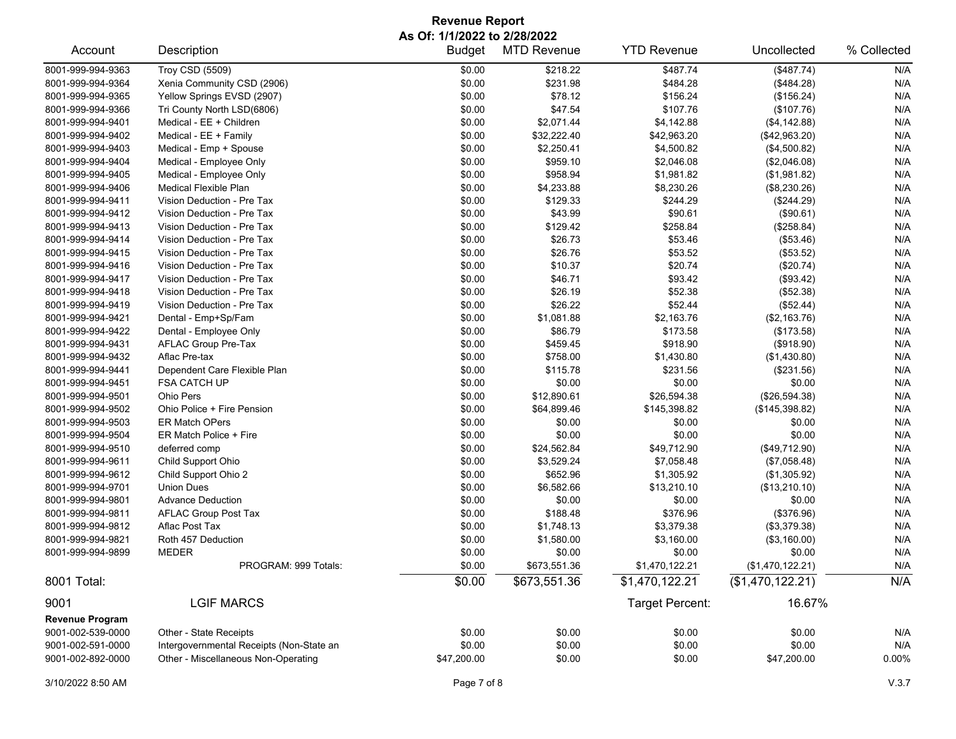## **Revenue Report As Of: 1/1/2022 to 2/28/2022**

| Account                | Description                              | <b>Budget</b> | <b>MTD Revenue</b> | <b>YTD Revenue</b> | Uncollected      | % Collected |
|------------------------|------------------------------------------|---------------|--------------------|--------------------|------------------|-------------|
| 8001-999-994-9363      | <b>Troy CSD (5509)</b>                   | \$0.00        | \$218.22           | \$487.74           | (\$487.74)       | N/A         |
| 8001-999-994-9364      | Xenia Community CSD (2906)               | \$0.00        | \$231.98           | \$484.28           | (\$484.28)       | N/A         |
| 8001-999-994-9365      | Yellow Springs EVSD (2907)               | \$0.00        | \$78.12            | \$156.24           | (\$156.24)       | N/A         |
| 8001-999-994-9366      | Tri County North LSD(6806)               | \$0.00        | \$47.54            | \$107.76           | (\$107.76)       | N/A         |
| 8001-999-994-9401      | Medical - EE + Children                  | \$0.00        | \$2,071.44         | \$4,142.88         | (\$4,142.88)     | N/A         |
| 8001-999-994-9402      | Medical - EE + Family                    | \$0.00        | \$32,222.40        | \$42,963.20        | (\$42,963.20)    | N/A         |
| 8001-999-994-9403      | Medical - Emp + Spouse                   | \$0.00        | \$2,250.41         | \$4,500.82         | (\$4,500.82)     | N/A         |
| 8001-999-994-9404      | Medical - Employee Only                  | \$0.00        | \$959.10           | \$2,046.08         | (\$2,046.08)     | N/A         |
| 8001-999-994-9405      | Medical - Employee Only                  | \$0.00        | \$958.94           | \$1,981.82         | (\$1,981.82)     | N/A         |
| 8001-999-994-9406      | <b>Medical Flexible Plan</b>             | \$0.00        | \$4,233.88         | \$8,230.26         | (\$8,230.26)     | N/A         |
| 8001-999-994-9411      | Vision Deduction - Pre Tax               | \$0.00        | \$129.33           | \$244.29           | (\$244.29)       | N/A         |
| 8001-999-994-9412      | Vision Deduction - Pre Tax               | \$0.00        | \$43.99            | \$90.61            | (\$90.61)        | N/A         |
| 8001-999-994-9413      | Vision Deduction - Pre Tax               | \$0.00        | \$129.42           | \$258.84           | (\$258.84)       | N/A         |
| 8001-999-994-9414      | Vision Deduction - Pre Tax               | \$0.00        | \$26.73            | \$53.46            | (\$53.46)        | N/A         |
| 8001-999-994-9415      | Vision Deduction - Pre Tax               | \$0.00        | \$26.76            | \$53.52            | (\$53.52)        | N/A         |
| 8001-999-994-9416      | Vision Deduction - Pre Tax               | \$0.00        | \$10.37            | \$20.74            | (\$20.74)        | N/A         |
| 8001-999-994-9417      | Vision Deduction - Pre Tax               | \$0.00        | \$46.71            | \$93.42            | (\$93.42)        | N/A         |
| 8001-999-994-9418      | Vision Deduction - Pre Tax               | \$0.00        | \$26.19            | \$52.38            | (\$52.38)        | N/A         |
| 8001-999-994-9419      | Vision Deduction - Pre Tax               | \$0.00        | \$26.22            | \$52.44            | (\$52.44)        | N/A         |
| 8001-999-994-9421      | Dental - Emp+Sp/Fam                      | \$0.00        | \$1,081.88         | \$2,163.76         | (\$2,163.76)     | N/A         |
| 8001-999-994-9422      | Dental - Employee Only                   | \$0.00        | \$86.79            | \$173.58           | (\$173.58)       | N/A         |
| 8001-999-994-9431      | AFLAC Group Pre-Tax                      | \$0.00        | \$459.45           | \$918.90           | (\$918.90)       | N/A         |
| 8001-999-994-9432      | Aflac Pre-tax                            | \$0.00        | \$758.00           | \$1,430.80         | (\$1,430.80)     | N/A         |
| 8001-999-994-9441      | Dependent Care Flexible Plan             | \$0.00        | \$115.78           | \$231.56           | (\$231.56)       | N/A         |
| 8001-999-994-9451      | FSA CATCH UP                             | \$0.00        | \$0.00             | \$0.00             | \$0.00           | N/A         |
| 8001-999-994-9501      | Ohio Pers                                | \$0.00        | \$12,890.61        | \$26,594.38        | (\$26,594.38)    | N/A         |
| 8001-999-994-9502      | Ohio Police + Fire Pension               | \$0.00        | \$64,899.46        | \$145,398.82       | (\$145,398.82)   | N/A         |
| 8001-999-994-9503      | <b>ER Match OPers</b>                    | \$0.00        | \$0.00             | \$0.00             | \$0.00           | N/A         |
|                        | ER Match Police + Fire                   |               |                    |                    |                  |             |
| 8001-999-994-9504      |                                          | \$0.00        | \$0.00             | \$0.00             | \$0.00           | N/A         |
| 8001-999-994-9510      | deferred comp                            | \$0.00        | \$24,562.84        | \$49,712.90        | (\$49,712.90)    | N/A         |
| 8001-999-994-9611      | Child Support Ohio                       | \$0.00        | \$3,529.24         | \$7,058.48         | (\$7,058.48)     | N/A         |
| 8001-999-994-9612      | Child Support Ohio 2                     | \$0.00        | \$652.96           | \$1,305.92         | (\$1,305.92)     | N/A         |
| 8001-999-994-9701      | <b>Union Dues</b>                        | \$0.00        | \$6,582.66         | \$13,210.10        | (\$13,210.10)    | N/A         |
| 8001-999-994-9801      | <b>Advance Deduction</b>                 | \$0.00        | \$0.00             | \$0.00             | \$0.00           | N/A         |
| 8001-999-994-9811      | <b>AFLAC Group Post Tax</b>              | \$0.00        | \$188.48           | \$376.96           | (\$376.96)       | N/A         |
| 8001-999-994-9812      | Aflac Post Tax                           | \$0.00        | \$1,748.13         | \$3,379.38         | (\$3,379.38)     | N/A         |
| 8001-999-994-9821      | Roth 457 Deduction                       | \$0.00        | \$1,580.00         | \$3,160.00         | (\$3,160.00)     | N/A         |
| 8001-999-994-9899      | <b>MEDER</b>                             | \$0.00        | \$0.00             | \$0.00             | \$0.00           | N/A         |
|                        | PROGRAM: 999 Totals:                     | \$0.00        | \$673,551.36       | \$1,470,122.21     | (\$1,470,122.21) | N/A         |
| 8001 Total:            |                                          | \$0.00        | \$673,551.36       | \$1,470,122.21     | (\$1,470,122.21) | N/A         |
| 9001                   | <b>LGIF MARCS</b>                        |               |                    | Target Percent:    | 16.67%           |             |
| <b>Revenue Program</b> |                                          |               |                    |                    |                  |             |
| 9001-002-539-0000      | Other - State Receipts                   | \$0.00        | \$0.00             | \$0.00             | \$0.00           | N/A         |
| 9001-002-591-0000      | Intergovernmental Receipts (Non-State an | \$0.00        | \$0.00             | \$0.00             | \$0.00           | N/A         |
| 9001-002-892-0000      | Other - Miscellaneous Non-Operating      | \$47,200.00   | \$0.00             | \$0.00             | \$47,200.00      | $0.00\%$    |